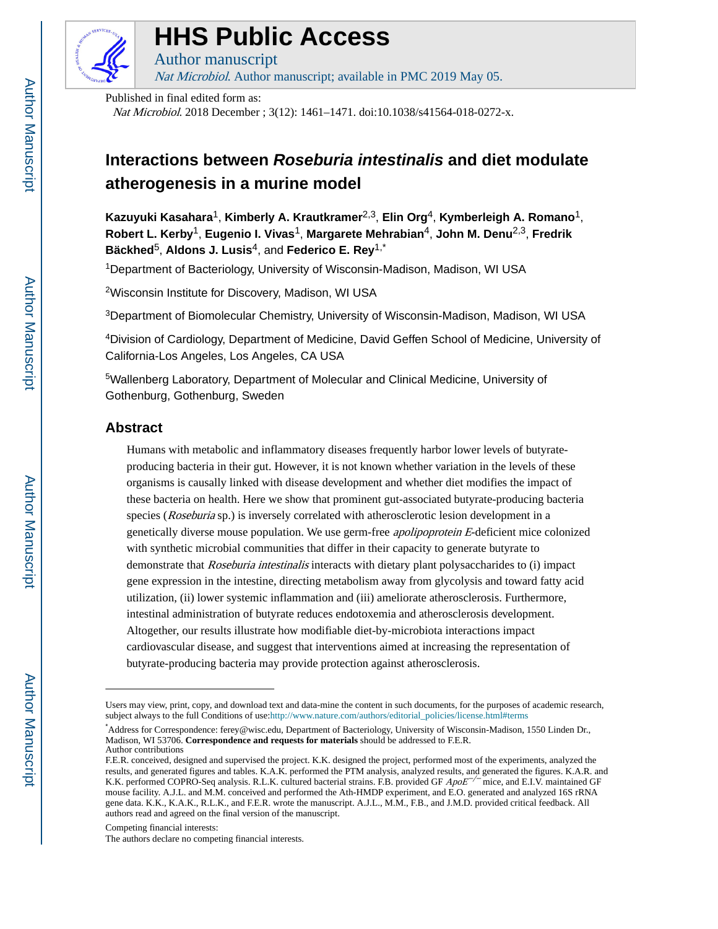

# **HHS Public Access**

Author manuscript Nat Microbiol. Author manuscript; available in PMC 2019 May 05.

Published in final edited form as:

Nat Microbiol. 2018 December ; 3(12): 1461–1471. doi:10.1038/s41564-018-0272-x.

## **Interactions between Roseburia intestinalis and diet modulate atherogenesis in a murine model**

**Kazuyuki Kasahara**1, **Kimberly A. Krautkramer**2,3, **Elin Org**4, **Kymberleigh A. Romano**1, **Robert L. Kerby**1, **Eugenio I. Vivas**1, **Margarete Mehrabian**4, **John M. Denu**2,3, **Fredrik Bäckhed**5, **Aldons J. Lusis**4, and **Federico E. Rey**1,\*

<sup>1</sup>Department of Bacteriology, University of Wisconsin-Madison, Madison, WI USA

<sup>2</sup>Wisconsin Institute for Discovery, Madison, WI USA

<sup>3</sup>Department of Biomolecular Chemistry, University of Wisconsin-Madison, Madison, WI USA

<sup>4</sup>Division of Cardiology, Department of Medicine, David Geffen School of Medicine, University of California-Los Angeles, Los Angeles, CA USA

<sup>5</sup>Wallenberg Laboratory, Department of Molecular and Clinical Medicine, University of Gothenburg, Gothenburg, Sweden

## **Abstract**

Humans with metabolic and inflammatory diseases frequently harbor lower levels of butyrateproducing bacteria in their gut. However, it is not known whether variation in the levels of these organisms is causally linked with disease development and whether diet modifies the impact of these bacteria on health. Here we show that prominent gut-associated butyrate-producing bacteria species (Roseburia sp.) is inversely correlated with atherosclerotic lesion development in a genetically diverse mouse population. We use germ-free apolipoprotein E-deficient mice colonized with synthetic microbial communities that differ in their capacity to generate butyrate to demonstrate that *Roseburia intestinalis* interacts with dietary plant polysaccharides to (i) impact gene expression in the intestine, directing metabolism away from glycolysis and toward fatty acid utilization, (ii) lower systemic inflammation and (iii) ameliorate atherosclerosis. Furthermore, intestinal administration of butyrate reduces endotoxemia and atherosclerosis development. Altogether, our results illustrate how modifiable diet-by-microbiota interactions impact cardiovascular disease, and suggest that interventions aimed at increasing the representation of butyrate-producing bacteria may provide protection against atherosclerosis.

Competing financial interests:

Users may view, print, copy, and download text and data-mine the content in such documents, for the purposes of academic research, subject always to the full Conditions of use:[http://www.nature.com/authors/editorial\\_policies/license.html#terms](http://www.nature.com/authors/editorial_policies/license.html#terms)

<sup>\*</sup>Address for Correspondence: ferey@wisc.edu, Department of Bacteriology, University of Wisconsin-Madison, 1550 Linden Dr., Madison, WI 53706. **Correspondence and requests for materials** should be addressed to F.E.R. Author contributions

F.E.R. conceived, designed and supervised the project. K.K. designed the project, performed most of the experiments, analyzed the results, and generated figures and tables. K.A.K. performed the PTM analysis, analyzed results, and generated the figures. K.A.R. and K.K. performed COPRO-Seq analysis. R.L.K. cultured bacterial strains. F.B. provided GF ApoE<sup>-/−</sup> mice, and E.I.V. maintained GF mouse facility. A.J.L. and M.M. conceived and performed the Ath-HMDP experiment, and E.O. generated and analyzed 16S rRNA gene data. K.K., K.A.K., R.L.K., and F.E.R. wrote the manuscript. A.J.L., M.M., F.B., and J.M.D. provided critical feedback. All authors read and agreed on the final version of the manuscript.

The authors declare no competing financial interests.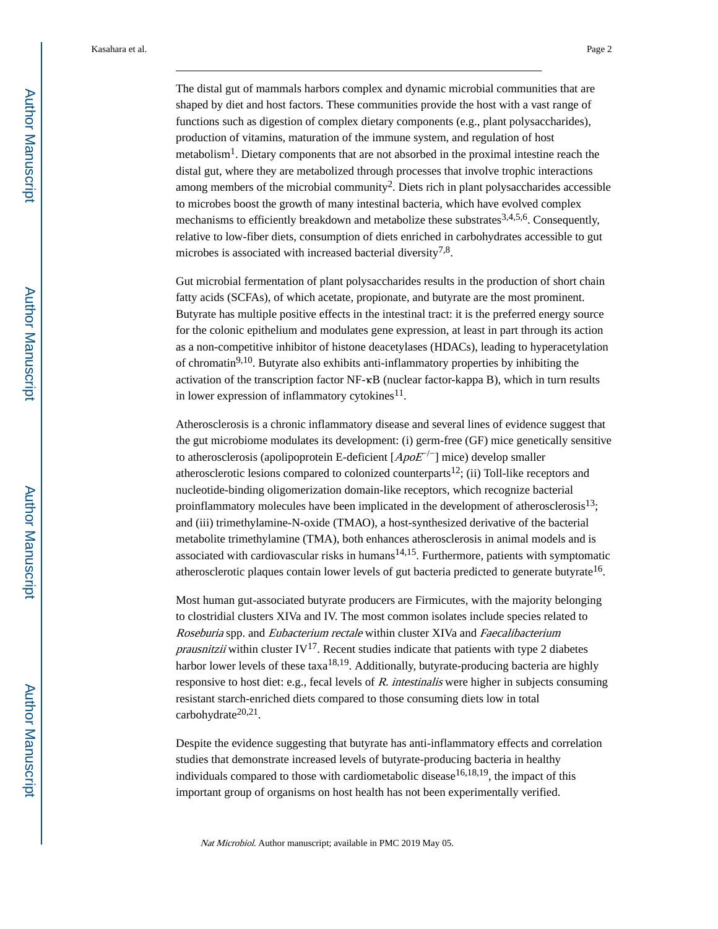The distal gut of mammals harbors complex and dynamic microbial communities that are shaped by diet and host factors. These communities provide the host with a vast range of functions such as digestion of complex dietary components (e.g., plant polysaccharides), production of vitamins, maturation of the immune system, and regulation of host metabolism<sup>1</sup>. Dietary components that are not absorbed in the proximal intestine reach the distal gut, where they are metabolized through processes that involve trophic interactions among members of the microbial community<sup>2</sup>. Diets rich in plant polysaccharides accessible to microbes boost the growth of many intestinal bacteria, which have evolved complex mechanisms to efficiently breakdown and metabolize these substrates<sup>3,4,5,6</sup>. Consequently,

Gut microbial fermentation of plant polysaccharides results in the production of short chain fatty acids (SCFAs), of which acetate, propionate, and butyrate are the most prominent. Butyrate has multiple positive effects in the intestinal tract: it is the preferred energy source for the colonic epithelium and modulates gene expression, at least in part through its action as a non-competitive inhibitor of histone deacetylases (HDACs), leading to hyperacetylation of chromatin<sup>9,10</sup>. Butyrate also exhibits anti-inflammatory properties by inhibiting the activation of the transcription factor NF-κB (nuclear factor-kappa B), which in turn results in lower expression of inflammatory cytokines $^{11}$ .

relative to low-fiber diets, consumption of diets enriched in carbohydrates accessible to gut

microbes is associated with increased bacterial diversity<sup>7,8</sup>.

Atherosclerosis is a chronic inflammatory disease and several lines of evidence suggest that the gut microbiome modulates its development: (i) germ-free (GF) mice genetically sensitive to atherosclerosis (apolipoprotein E-deficient  $[ApoE^{-/-}]$  mice) develop smaller atherosclerotic lesions compared to colonized counterparts<sup>12</sup>; (ii) Toll-like receptors and nucleotide-binding oligomerization domain-like receptors, which recognize bacterial proinflammatory molecules have been implicated in the development of atherosclerosis $^{13}$ ; and (iii) trimethylamine-N-oxide (TMAO), a host-synthesized derivative of the bacterial metabolite trimethylamine (TMA), both enhances atherosclerosis in animal models and is associated with cardiovascular risks in humans $14,15$ . Furthermore, patients with symptomatic atherosclerotic plaques contain lower levels of gut bacteria predicted to generate butyrate<sup>16</sup>.

Most human gut-associated butyrate producers are Firmicutes, with the majority belonging to clostridial clusters XIVa and IV. The most common isolates include species related to Roseburia spp. and Eubacterium rectale within cluster XIVa and Faecalibacterium *prausnitzii* within cluster IV<sup>17</sup>. Recent studies indicate that patients with type 2 diabetes harbor lower levels of these  $taxa^{18,19}$ . Additionally, butyrate-producing bacteria are highly responsive to host diet: e.g., fecal levels of R. intestinalis were higher in subjects consuming resistant starch-enriched diets compared to those consuming diets low in total carbohydrate<sup>20,21</sup>.

Despite the evidence suggesting that butyrate has anti-inflammatory effects and correlation studies that demonstrate increased levels of butyrate-producing bacteria in healthy individuals compared to those with cardiometabolic disease  $16,18,19$ , the impact of this important group of organisms on host health has not been experimentally verified.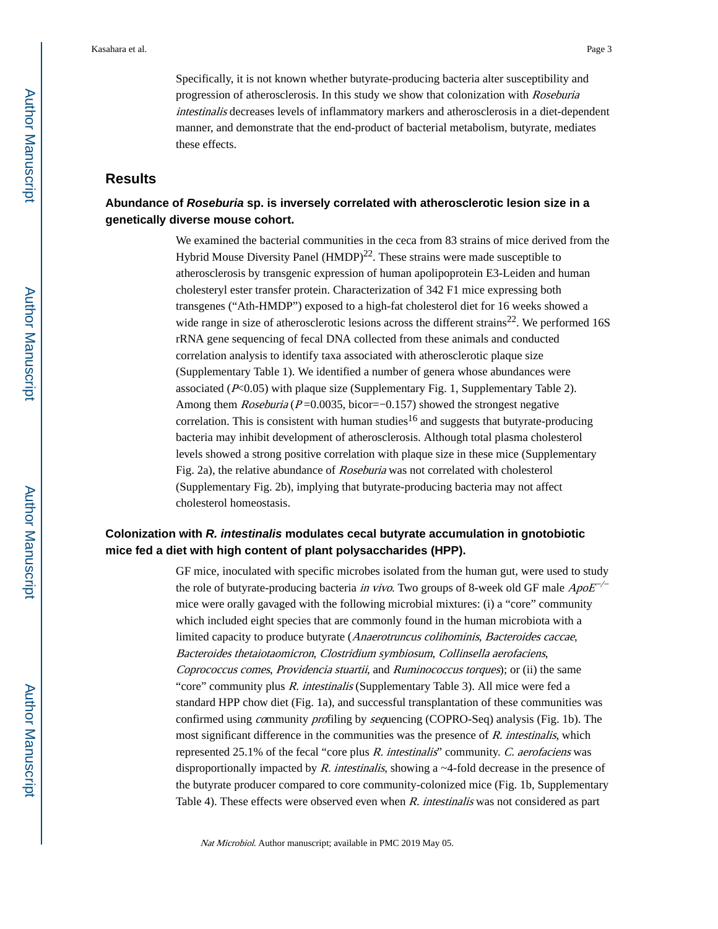Specifically, it is not known whether butyrate-producing bacteria alter susceptibility and progression of atherosclerosis. In this study we show that colonization with Roseburia intestinalis decreases levels of inflammatory markers and atherosclerosis in a diet-dependent manner, and demonstrate that the end-product of bacterial metabolism, butyrate, mediates these effects.

## **Results**

## **Abundance of Roseburia sp. is inversely correlated with atherosclerotic lesion size in a genetically diverse mouse cohort.**

We examined the bacterial communities in the ceca from 83 strains of mice derived from the Hybrid Mouse Diversity Panel  $(HMDP)^{22}$ . These strains were made susceptible to atherosclerosis by transgenic expression of human apolipoprotein E3-Leiden and human cholesteryl ester transfer protein. Characterization of 342 F1 mice expressing both transgenes ("Ath-HMDP") exposed to a high-fat cholesterol diet for 16 weeks showed a wide range in size of atherosclerotic lesions across the different strains<sup>22</sup>. We performed  $16S$ rRNA gene sequencing of fecal DNA collected from these animals and conducted correlation analysis to identify taxa associated with atherosclerotic plaque size (Supplementary Table 1). We identified a number of genera whose abundances were associated  $(F<0.05)$  with plaque size (Supplementary Fig. 1, Supplementary Table 2). Among them  $Roseburia (P=0.0035, bicor=-0.157)$  showed the strongest negative correlation. This is consistent with human studies<sup>16</sup> and suggests that butyrate-producing bacteria may inhibit development of atherosclerosis. Although total plasma cholesterol levels showed a strong positive correlation with plaque size in these mice (Supplementary Fig. 2a), the relative abundance of Roseburia was not correlated with cholesterol (Supplementary Fig. 2b), implying that butyrate-producing bacteria may not affect cholesterol homeostasis.

## **Colonization with R. intestinalis modulates cecal butyrate accumulation in gnotobiotic mice fed a diet with high content of plant polysaccharides (HPP).**

GF mice, inoculated with specific microbes isolated from the human gut, were used to study the role of butyrate-producing bacteria *in vivo*. Two groups of 8-week old GF male  $ApoE^{-/-}$ mice were orally gavaged with the following microbial mixtures: (i) a "core" community which included eight species that are commonly found in the human microbiota with a limited capacity to produce butyrate (Anaerotruncus colihominis, Bacteroides caccae, Bacteroides thetaiotaomicron, Clostridium symbiosum, Collinsella aerofaciens, Coprococcus comes, Providencia stuartii, and Ruminococcus torques); or (ii) the same "core" community plus R. intestinalis (Supplementary Table 3). All mice were fed a standard HPP chow diet (Fig. 1a), and successful transplantation of these communities was confirmed using community profiling by sequencing (COPRO-Seq) analysis (Fig. 1b). The most significant difference in the communities was the presence of  $R$ . intestinalis, which represented 25.1% of the fecal "core plus R. intestinalis" community. C. aerofaciens was disproportionally impacted by  $R$ . intestinalis, showing a  $\sim$ 4-fold decrease in the presence of the butyrate producer compared to core community-colonized mice (Fig. 1b, Supplementary Table 4). These effects were observed even when  $R$ , intestinalis was not considered as part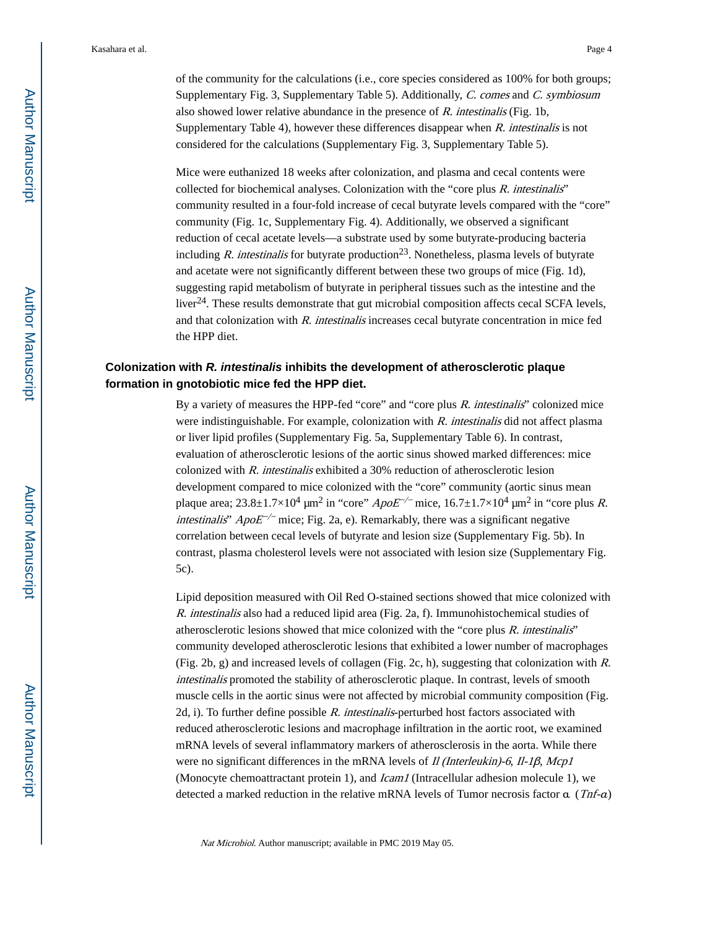of the community for the calculations (i.e., core species considered as 100% for both groups; Supplementary Fig. 3, Supplementary Table 5). Additionally, C. comes and C. symbiosum also showed lower relative abundance in the presence of R. intestinalis (Fig. 1b, Supplementary Table 4), however these differences disappear when  $R$ . intestinalis is not considered for the calculations (Supplementary Fig. 3, Supplementary Table 5).

Mice were euthanized 18 weeks after colonization, and plasma and cecal contents were collected for biochemical analyses. Colonization with the "core plus  $R$ . intestinalis" community resulted in a four-fold increase of cecal butyrate levels compared with the "core" community (Fig. 1c, Supplementary Fig. 4). Additionally, we observed a significant reduction of cecal acetate levels—a substrate used by some butyrate-producing bacteria including R. intestinalis for butyrate production<sup>23</sup>. Nonetheless, plasma levels of butyrate and acetate were not significantly different between these two groups of mice (Fig. 1d), suggesting rapid metabolism of butyrate in peripheral tissues such as the intestine and the liver<sup>24</sup>. These results demonstrate that gut microbial composition affects cecal SCFA levels, and that colonization with  $R$ . intestinalis increases cecal butyrate concentration in mice fed the HPP diet.

## **Colonization with R. intestinalis inhibits the development of atherosclerotic plaque formation in gnotobiotic mice fed the HPP diet.**

By a variety of measures the HPP-fed "core" and "core plus R. intestinalis" colonized mice were indistinguishable. For example, colonization with R. intestinalis did not affect plasma or liver lipid profiles (Supplementary Fig. 5a, Supplementary Table 6). In contrast, evaluation of atherosclerotic lesions of the aortic sinus showed marked differences: mice colonized with R. intestinalis exhibited a 30% reduction of atherosclerotic lesion development compared to mice colonized with the "core" community (aortic sinus mean plaque area;  $23.8 \pm 1.7 \times 10^4$  µm<sup>2</sup> in "core"  $ApoE^{-/-}$  mice,  $16.7 \pm 1.7 \times 10^4$  µm<sup>2</sup> in "core plus R. *intestinalis*"  $ApoE^{-/-}$  mice; Fig. 2a, e). Remarkably, there was a significant negative correlation between cecal levels of butyrate and lesion size (Supplementary Fig. 5b). In contrast, plasma cholesterol levels were not associated with lesion size (Supplementary Fig. 5c).

Lipid deposition measured with Oil Red O-stained sections showed that mice colonized with R. intestinalis also had a reduced lipid area (Fig. 2a, f). Immunohistochemical studies of atherosclerotic lesions showed that mice colonized with the "core plus R. intestinalis" community developed atherosclerotic lesions that exhibited a lower number of macrophages (Fig. 2b, g) and increased levels of collagen (Fig. 2c, h), suggesting that colonization with R. intestinalis promoted the stability of atherosclerotic plaque. In contrast, levels of smooth muscle cells in the aortic sinus were not affected by microbial community composition (Fig. 2d, i). To further define possible  $R$ . intestinalis-perturbed host factors associated with reduced atherosclerotic lesions and macrophage infiltration in the aortic root, we examined mRNA levels of several inflammatory markers of atherosclerosis in the aorta. While there were no significant differences in the mRNA levels of *Il (Interleukin)-6, Il-1β, Mcp1* (Monocyte chemoattractant protein 1), and *Icam1* (Intracellular adhesion molecule 1), we detected a marked reduction in the relative mRNA levels of Tumor necrosis factor  $\alpha$  (Tnf- $\alpha$ )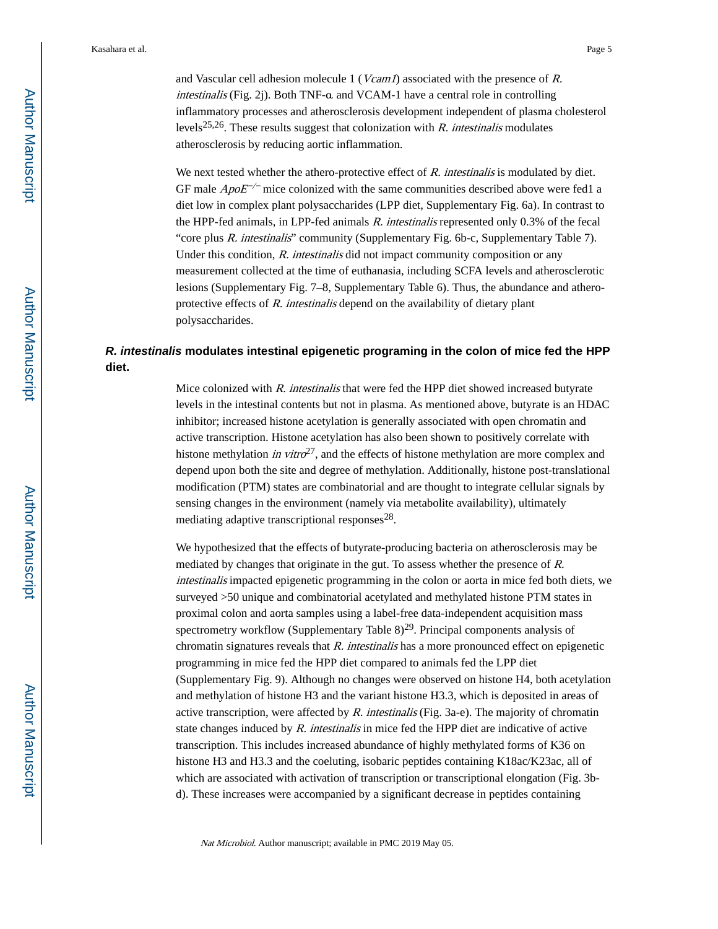and Vascular cell adhesion molecule 1 (*Vcam1*) associated with the presence of R. intestinalis (Fig. 2j). Both TNF-α and VCAM-1 have a central role in controlling inflammatory processes and atherosclerosis development independent of plasma cholesterol levels<sup>25,26</sup>. These results suggest that colonization with R. intestinalis modulates atherosclerosis by reducing aortic inflammation.

We next tested whether the athero-protective effect of  $R$ . intestinalis is modulated by diet. GF male  $ApoE^{-/-}$  mice colonized with the same communities described above were fed1 a diet low in complex plant polysaccharides (LPP diet, Supplementary Fig. 6a). In contrast to the HPP-fed animals, in LPP-fed animals R. intestinalis represented only 0.3% of the fecal "core plus R. intestinalis" community (Supplementary Fig. 6b-c, Supplementary Table 7). Under this condition, R. intestinalis did not impact community composition or any measurement collected at the time of euthanasia, including SCFA levels and atherosclerotic lesions (Supplementary Fig. 7–8, Supplementary Table 6). Thus, the abundance and atheroprotective effects of R. intestinalis depend on the availability of dietary plant polysaccharides.

## **R. intestinalis modulates intestinal epigenetic programing in the colon of mice fed the HPP diet.**

Mice colonized with R. intestinalis that were fed the HPP diet showed increased butyrate levels in the intestinal contents but not in plasma. As mentioned above, butyrate is an HDAC inhibitor; increased histone acetylation is generally associated with open chromatin and active transcription. Histone acetylation has also been shown to positively correlate with histone methylation *in vitro*<sup>27</sup>, and the effects of histone methylation are more complex and depend upon both the site and degree of methylation. Additionally, histone post-translational modification (PTM) states are combinatorial and are thought to integrate cellular signals by sensing changes in the environment (namely via metabolite availability), ultimately mediating adaptive transcriptional responses<sup>28</sup>.

We hypothesized that the effects of butyrate-producing bacteria on atherosclerosis may be mediated by changes that originate in the gut. To assess whether the presence of R. intestinalis impacted epigenetic programming in the colon or aorta in mice fed both diets, we surveyed >50 unique and combinatorial acetylated and methylated histone PTM states in proximal colon and aorta samples using a label-free data-independent acquisition mass spectrometry workflow (Supplementary Table  $8)^{29}$ . Principal components analysis of chromatin signatures reveals that R. intestinalis has a more pronounced effect on epigenetic programming in mice fed the HPP diet compared to animals fed the LPP diet (Supplementary Fig. 9). Although no changes were observed on histone H4, both acetylation and methylation of histone H3 and the variant histone H3.3, which is deposited in areas of active transcription, were affected by  $R$ . intestinalis (Fig. 3a-e). The majority of chromatin state changes induced by R. intestinalis in mice fed the HPP diet are indicative of active transcription. This includes increased abundance of highly methylated forms of K36 on histone H3 and H3.3 and the coeluting, isobaric peptides containing K18ac/K23ac, all of which are associated with activation of transcription or transcriptional elongation (Fig. 3bd). These increases were accompanied by a significant decrease in peptides containing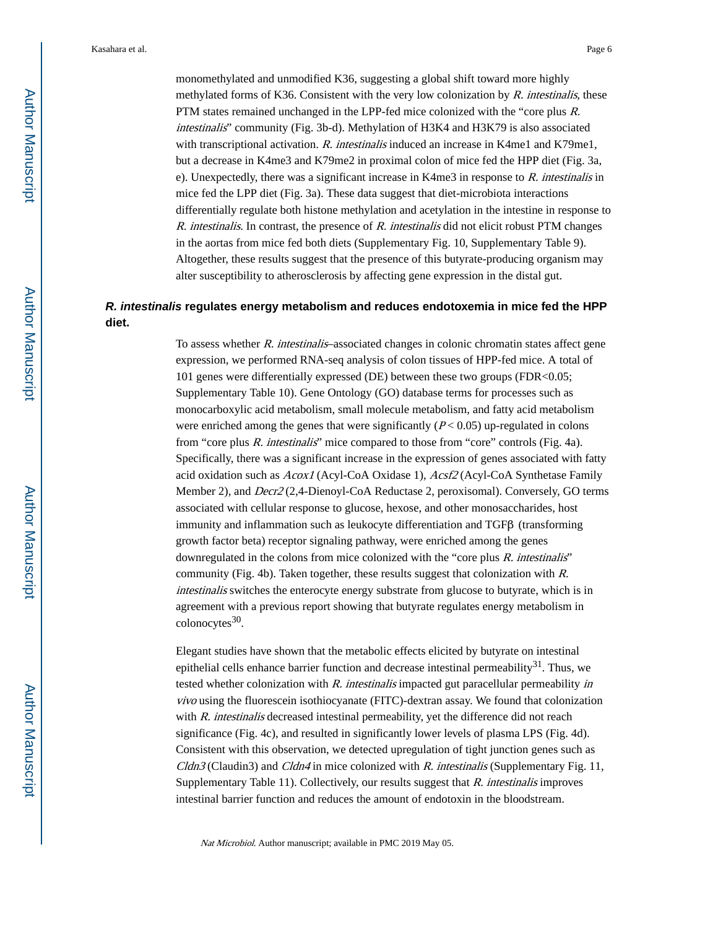monomethylated and unmodified K36, suggesting a global shift toward more highly methylated forms of K36. Consistent with the very low colonization by  $R$ . intestinalis, these PTM states remained unchanged in the LPP-fed mice colonized with the "core plus R. intestinalis" community (Fig. 3b-d). Methylation of H3K4 and H3K79 is also associated with transcriptional activation. R. intestinalis induced an increase in K4me1 and K79me1, but a decrease in K4me3 and K79me2 in proximal colon of mice fed the HPP diet (Fig. 3a, e). Unexpectedly, there was a significant increase in K4me3 in response to R. intestinalis in mice fed the LPP diet (Fig. 3a). These data suggest that diet-microbiota interactions differentially regulate both histone methylation and acetylation in the intestine in response to  $R.$  intestinalis. In contrast, the presence of  $R.$  intestinalis did not elicit robust PTM changes in the aortas from mice fed both diets (Supplementary Fig. 10, Supplementary Table 9). Altogether, these results suggest that the presence of this butyrate-producing organism may alter susceptibility to atherosclerosis by affecting gene expression in the distal gut.

## **R. intestinalis regulates energy metabolism and reduces endotoxemia in mice fed the HPP diet.**

To assess whether R. intestinalis–associated changes in colonic chromatin states affect gene expression, we performed RNA-seq analysis of colon tissues of HPP-fed mice. A total of 101 genes were differentially expressed (DE) between these two groups (FDR<0.05; Supplementary Table 10). Gene Ontology (GO) database terms for processes such as monocarboxylic acid metabolism, small molecule metabolism, and fatty acid metabolism were enriched among the genes that were significantly  $(P< 0.05)$  up-regulated in colons from "core plus R. intestinalis" mice compared to those from "core" controls (Fig. 4a). Specifically, there was a significant increase in the expression of genes associated with fatty acid oxidation such as Acox1 (Acyl-CoA Oxidase 1), Acsf2 (Acyl-CoA Synthetase Family Member 2), and Decr2 (2,4-Dienoyl-CoA Reductase 2, peroxisomal). Conversely, GO terms associated with cellular response to glucose, hexose, and other monosaccharides, host immunity and inflammation such as leukocyte differentiation and TGFβ (transforming growth factor beta) receptor signaling pathway, were enriched among the genes downregulated in the colons from mice colonized with the "core plus R. intestinalis" community (Fig. 4b). Taken together, these results suggest that colonization with R. intestinalis switches the enterocyte energy substrate from glucose to butyrate, which is in agreement with a previous report showing that butyrate regulates energy metabolism in colonocytes<sup>30</sup>.

Elegant studies have shown that the metabolic effects elicited by butyrate on intestinal epithelial cells enhance barrier function and decrease intestinal permeability<sup>31</sup>. Thus, we tested whether colonization with R. intestinalis impacted gut paracellular permeability in vivo using the fluorescein isothiocyanate (FITC)-dextran assay. We found that colonization with R. intestinalis decreased intestinal permeability, yet the difference did not reach significance (Fig. 4c), and resulted in significantly lower levels of plasma LPS (Fig. 4d). Consistent with this observation, we detected upregulation of tight junction genes such as  $C$ ldn3 (Claudin3) and  $C$ ldn4 in mice colonized with R. intestinalis (Supplementary Fig. 11, Supplementary Table 11). Collectively, our results suggest that R. intestinalis improves intestinal barrier function and reduces the amount of endotoxin in the bloodstream.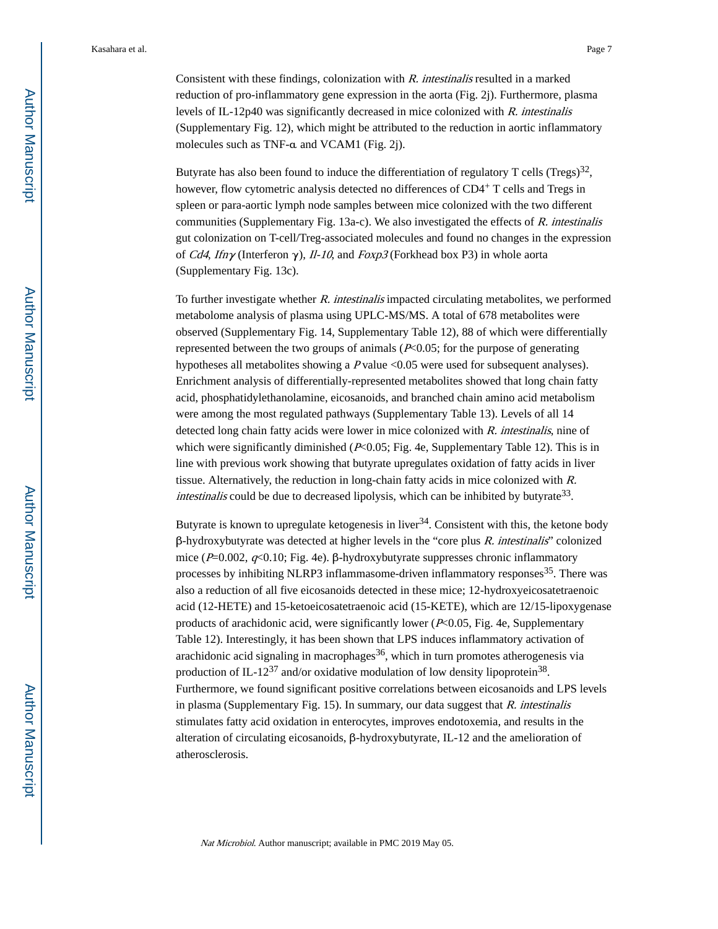Consistent with these findings, colonization with R. intestinalis resulted in a marked reduction of pro-inflammatory gene expression in the aorta (Fig. 2j). Furthermore, plasma levels of IL-12p40 was significantly decreased in mice colonized with R. intestinalis (Supplementary Fig. 12), which might be attributed to the reduction in aortic inflammatory molecules such as TNF-α and VCAM1 (Fig. 2j).

Butyrate has also been found to induce the differentiation of regulatory T cells (Tregs)<sup>32</sup>, however, flow cytometric analysis detected no differences of CD4+ T cells and Tregs in spleen or para-aortic lymph node samples between mice colonized with the two different communities (Supplementary Fig. 13a-c). We also investigated the effects of  $R$ . intestinalis gut colonization on T-cell/Treg-associated molecules and found no changes in the expression of Cd4, Ifn $\gamma$  (Interferon  $\gamma$ ), Il-10, and Foxp3 (Forkhead box P3) in whole aorta (Supplementary Fig. 13c).

To further investigate whether R. intestinalis impacted circulating metabolites, we performed metabolome analysis of plasma using UPLC-MS/MS. A total of 678 metabolites were observed (Supplementary Fig. 14, Supplementary Table 12), 88 of which were differentially represented between the two groups of animals  $(P<0.05$ ; for the purpose of generating hypotheses all metabolites showing a P value <0.05 were used for subsequent analyses). Enrichment analysis of differentially-represented metabolites showed that long chain fatty acid, phosphatidylethanolamine, eicosanoids, and branched chain amino acid metabolism were among the most regulated pathways (Supplementary Table 13). Levels of all 14 detected long chain fatty acids were lower in mice colonized with R. intestinalis, nine of which were significantly diminished  $(P<0.05$ ; Fig. 4e, Supplementary Table 12). This is in line with previous work showing that butyrate upregulates oxidation of fatty acids in liver tissue. Alternatively, the reduction in long-chain fatty acids in mice colonized with R. intestinalis could be due to decreased lipolysis, which can be inhibited by butyrate<sup>33</sup>.

Butyrate is known to upregulate ketogenesis in liver<sup>34</sup>. Consistent with this, the ketone body  $β$ -hydroxybutyrate was detected at higher levels in the "core plus  $R$ . intestinalis" colonized mice ( $P=0.002$ ,  $q<0.10$ ; Fig. 4e). β-hydroxybutyrate suppresses chronic inflammatory processes by inhibiting NLRP3 inflammasome-driven inflammatory responses<sup>35</sup>. There was also a reduction of all five eicosanoids detected in these mice; 12-hydroxyeicosatetraenoic acid (12-HETE) and 15-ketoeicosatetraenoic acid (15-KETE), which are 12/15-lipoxygenase products of arachidonic acid, were significantly lower  $(P< 0.05, Fig. 4e, Supplementary)$ Table 12). Interestingly, it has been shown that LPS induces inflammatory activation of arachidonic acid signaling in macrophages  $36$ , which in turn promotes atherogenesis via production of IL-12<sup>37</sup> and/or oxidative modulation of low density lipoprotein<sup>38</sup>. Furthermore, we found significant positive correlations between eicosanoids and LPS levels in plasma (Supplementary Fig. 15). In summary, our data suggest that R. intestinalis stimulates fatty acid oxidation in enterocytes, improves endotoxemia, and results in the alteration of circulating eicosanoids, β-hydroxybutyrate, IL-12 and the amelioration of atherosclerosis.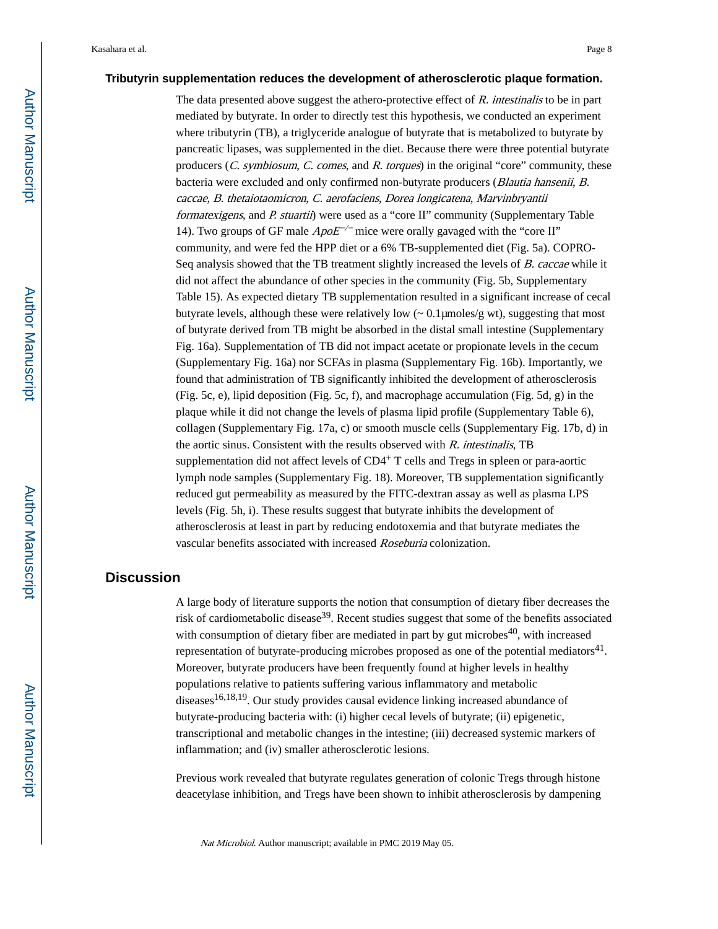## **Tributyrin supplementation reduces the development of atherosclerotic plaque formation.**

The data presented above suggest the athero-protective effect of  $R$ . intestinalis to be in part mediated by butyrate. In order to directly test this hypothesis, we conducted an experiment where tributyrin (TB), a triglyceride analogue of butyrate that is metabolized to butyrate by pancreatic lipases, was supplemented in the diet. Because there were three potential butyrate producers (C. symbiosum, C. comes, and R. torques) in the original "core" community, these bacteria were excluded and only confirmed non-butyrate producers (Blautia hansenii, B. caccae, B. thetaiotaomicron, C. aerofaciens, Dorea longicatena, Marvinbryantii formatexigens, and P. stuartii) were used as a "core II" community (Supplementary Table 14). Two groups of GF male  $ApoE^{-/-}$  mice were orally gavaged with the "core II" community, and were fed the HPP diet or a 6% TB-supplemented diet (Fig. 5a). COPRO-Seq analysis showed that the TB treatment slightly increased the levels of B. caccae while it did not affect the abundance of other species in the community (Fig. 5b, Supplementary Table 15). As expected dietary TB supplementation resulted in a significant increase of cecal butyrate levels, although these were relatively low (~ 0.1μmoles/g wt), suggesting that most of butyrate derived from TB might be absorbed in the distal small intestine (Supplementary Fig. 16a). Supplementation of TB did not impact acetate or propionate levels in the cecum (Supplementary Fig. 16a) nor SCFAs in plasma (Supplementary Fig. 16b). Importantly, we found that administration of TB significantly inhibited the development of atherosclerosis (Fig. 5c, e), lipid deposition (Fig. 5c, f), and macrophage accumulation (Fig. 5d, g) in the plaque while it did not change the levels of plasma lipid profile (Supplementary Table 6), collagen (Supplementary Fig. 17a, c) or smooth muscle cells (Supplementary Fig. 17b, d) in the aortic sinus. Consistent with the results observed with  $R$ . intestinalis, TB supplementation did not affect levels of  $CD4+T$  cells and Tregs in spleen or para-aortic lymph node samples (Supplementary Fig. 18). Moreover, TB supplementation significantly reduced gut permeability as measured by the FITC-dextran assay as well as plasma LPS levels (Fig. 5h, i). These results suggest that butyrate inhibits the development of atherosclerosis at least in part by reducing endotoxemia and that butyrate mediates the vascular benefits associated with increased Roseburia colonization.

## **Discussion**

A large body of literature supports the notion that consumption of dietary fiber decreases the risk of cardiometabolic disease<sup>39</sup>. Recent studies suggest that some of the benefits associated with consumption of dietary fiber are mediated in part by gut microbes<sup>40</sup>, with increased representation of butyrate-producing microbes proposed as one of the potential mediators<sup>41</sup>. Moreover, butyrate producers have been frequently found at higher levels in healthy populations relative to patients suffering various inflammatory and metabolic diseases<sup>16,18,19</sup>. Our study provides causal evidence linking increased abundance of butyrate-producing bacteria with: (i) higher cecal levels of butyrate; (ii) epigenetic, transcriptional and metabolic changes in the intestine; (iii) decreased systemic markers of inflammation; and (iv) smaller atherosclerotic lesions.

Previous work revealed that butyrate regulates generation of colonic Tregs through histone deacetylase inhibition, and Tregs have been shown to inhibit atherosclerosis by dampening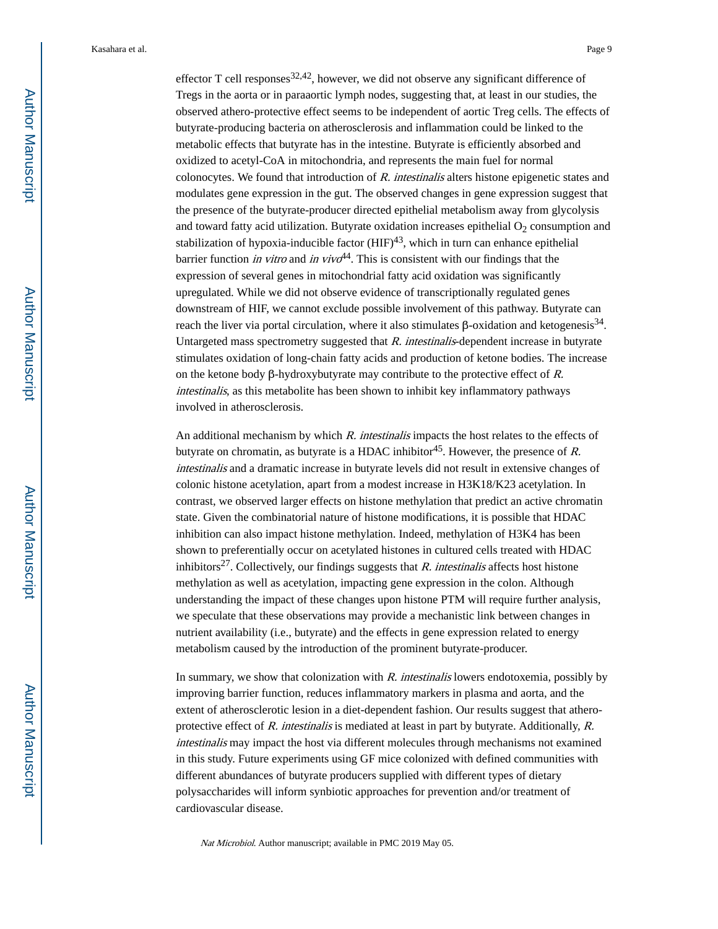effector T cell responses  $32,42$ , however, we did not observe any significant difference of Tregs in the aorta or in paraaortic lymph nodes, suggesting that, at least in our studies, the observed athero-protective effect seems to be independent of aortic Treg cells. The effects of butyrate-producing bacteria on atherosclerosis and inflammation could be linked to the metabolic effects that butyrate has in the intestine. Butyrate is efficiently absorbed and oxidized to acetyl-CoA in mitochondria, and represents the main fuel for normal colonocytes. We found that introduction of  $R$ , intestinalis alters histone epigenetic states and modulates gene expression in the gut. The observed changes in gene expression suggest that the presence of the butyrate-producer directed epithelial metabolism away from glycolysis and toward fatty acid utilization. Butyrate oxidation increases epithelial  $O_2$  consumption and stabilization of hypoxia-inducible factor  $(HIF)^{43}$ , which in turn can enhance epithelial barrier function *in vitro* and *in vivo*<sup>44</sup>. This is consistent with our findings that the expression of several genes in mitochondrial fatty acid oxidation was significantly upregulated. While we did not observe evidence of transcriptionally regulated genes downstream of HIF, we cannot exclude possible involvement of this pathway. Butyrate can reach the liver via portal circulation, where it also stimulates β-oxidation and ketogenesis<sup>34</sup>. Untargeted mass spectrometry suggested that R. intestinalis-dependent increase in butyrate stimulates oxidation of long-chain fatty acids and production of ketone bodies. The increase on the ketone body β-hydroxybutyrate may contribute to the protective effect of  $R$ . intestinalis, as this metabolite has been shown to inhibit key inflammatory pathways involved in atherosclerosis.

An additional mechanism by which R. intestinalis impacts the host relates to the effects of butyrate on chromatin, as butyrate is a HDAC inhibitor<sup>45</sup>. However, the presence of R. intestinalis and a dramatic increase in butyrate levels did not result in extensive changes of colonic histone acetylation, apart from a modest increase in H3K18/K23 acetylation. In contrast, we observed larger effects on histone methylation that predict an active chromatin state. Given the combinatorial nature of histone modifications, it is possible that HDAC inhibition can also impact histone methylation. Indeed, methylation of H3K4 has been shown to preferentially occur on acetylated histones in cultured cells treated with HDAC inhibitors<sup>27</sup>. Collectively, our findings suggests that R. intestinalis affects host histone methylation as well as acetylation, impacting gene expression in the colon. Although understanding the impact of these changes upon histone PTM will require further analysis, we speculate that these observations may provide a mechanistic link between changes in nutrient availability (i.e., butyrate) and the effects in gene expression related to energy metabolism caused by the introduction of the prominent butyrate-producer.

In summary, we show that colonization with R. intestinalis lowers endotoxemia, possibly by improving barrier function, reduces inflammatory markers in plasma and aorta, and the extent of atherosclerotic lesion in a diet-dependent fashion. Our results suggest that atheroprotective effect of  $R$ , intestinalis is mediated at least in part by butyrate. Additionally,  $R$ , intestinalis may impact the host via different molecules through mechanisms not examined in this study. Future experiments using GF mice colonized with defined communities with different abundances of butyrate producers supplied with different types of dietary polysaccharides will inform synbiotic approaches for prevention and/or treatment of cardiovascular disease.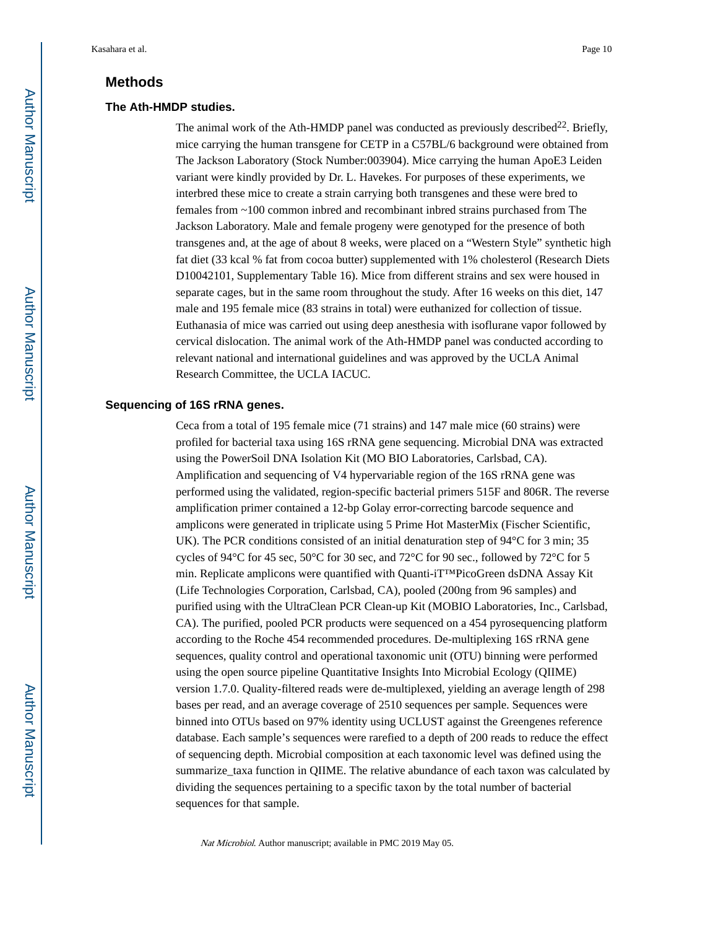## **Methods**

#### **The Ath-HMDP studies.**

The animal work of the Ath-HMDP panel was conducted as previously described<sup>22</sup>. Briefly, mice carrying the human transgene for CETP in a C57BL/6 background were obtained from The Jackson Laboratory (Stock Number:003904). Mice carrying the human ApoE3 Leiden variant were kindly provided by Dr. L. Havekes. For purposes of these experiments, we interbred these mice to create a strain carrying both transgenes and these were bred to females from ~100 common inbred and recombinant inbred strains purchased from The Jackson Laboratory. Male and female progeny were genotyped for the presence of both transgenes and, at the age of about 8 weeks, were placed on a "Western Style" synthetic high fat diet (33 kcal % fat from cocoa butter) supplemented with 1% cholesterol (Research Diets D10042101, Supplementary Table 16). Mice from different strains and sex were housed in separate cages, but in the same room throughout the study. After 16 weeks on this diet, 147 male and 195 female mice (83 strains in total) were euthanized for collection of tissue. Euthanasia of mice was carried out using deep anesthesia with isoflurane vapor followed by cervical dislocation. The animal work of the Ath-HMDP panel was conducted according to relevant national and international guidelines and was approved by the UCLA Animal Research Committee, the UCLA IACUC.

#### **Sequencing of 16S rRNA genes.**

Ceca from a total of 195 female mice (71 strains) and 147 male mice (60 strains) were profiled for bacterial taxa using 16S rRNA gene sequencing. Microbial DNA was extracted using the PowerSoil DNA Isolation Kit (MO BIO Laboratories, Carlsbad, CA). Amplification and sequencing of V4 hypervariable region of the 16S rRNA gene was performed using the validated, region-specific bacterial primers 515F and 806R. The reverse amplification primer contained a 12-bp Golay error-correcting barcode sequence and amplicons were generated in triplicate using 5 Prime Hot MasterMix (Fischer Scientific, UK). The PCR conditions consisted of an initial denaturation step of 94°C for 3 min; 35 cycles of 94°C for 45 sec, 50°C for 30 sec, and 72°C for 90 sec., followed by 72°C for 5 min. Replicate amplicons were quantified with Quanti-iT™PicoGreen dsDNA Assay Kit (Life Technologies Corporation, Carlsbad, CA), pooled (200ng from 96 samples) and purified using with the UltraClean PCR Clean-up Kit (MOBIO Laboratories, Inc., Carlsbad, CA). The purified, pooled PCR products were sequenced on a 454 pyrosequencing platform according to the Roche 454 recommended procedures. De-multiplexing 16S rRNA gene sequences, quality control and operational taxonomic unit (OTU) binning were performed using the open source pipeline Quantitative Insights Into Microbial Ecology (QIIME) version 1.7.0. Quality-filtered reads were de-multiplexed, yielding an average length of 298 bases per read, and an average coverage of 2510 sequences per sample. Sequences were binned into OTUs based on 97% identity using UCLUST against the Greengenes reference database. Each sample's sequences were rarefied to a depth of 200 reads to reduce the effect of sequencing depth. Microbial composition at each taxonomic level was defined using the summarize\_taxa function in QIIME. The relative abundance of each taxon was calculated by dividing the sequences pertaining to a specific taxon by the total number of bacterial sequences for that sample.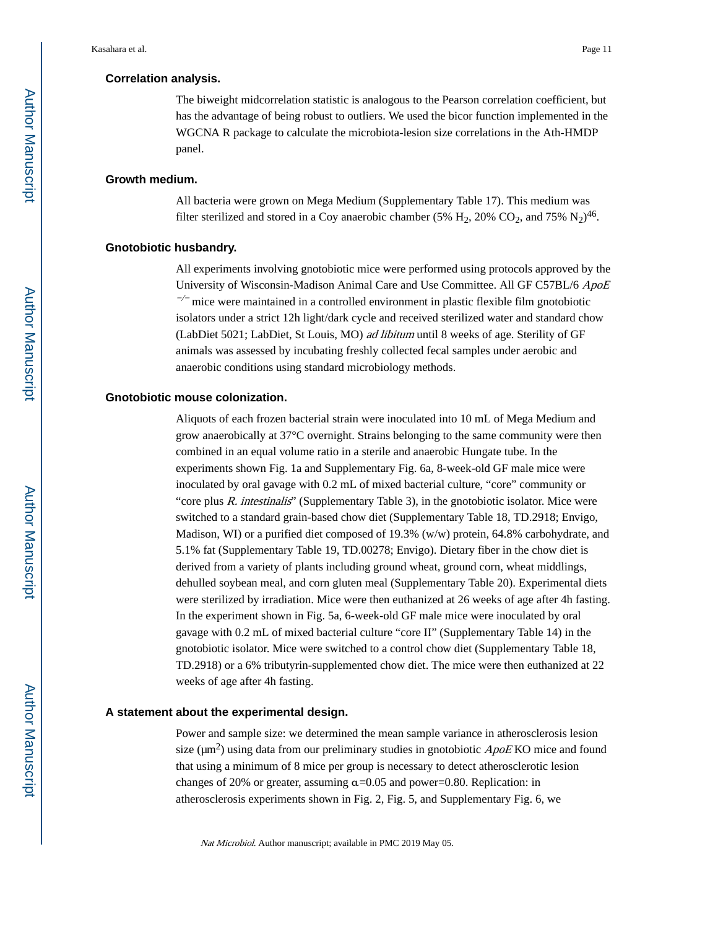#### **Correlation analysis.**

The biweight midcorrelation statistic is analogous to the Pearson correlation coefficient, but has the advantage of being robust to outliers. We used the bicor function implemented in the WGCNA R package to calculate the microbiota-lesion size correlations in the Ath-HMDP panel.

#### **Growth medium.**

All bacteria were grown on Mega Medium (Supplementary Table 17). This medium was filter sterilized and stored in a Coy anaerobic chamber (5%  $H_2$ , 20% CO<sub>2</sub>, and 75% N<sub>2</sub>)<sup>46</sup>.

#### **Gnotobiotic husbandry.**

All experiments involving gnotobiotic mice were performed using protocols approved by the University of Wisconsin-Madison Animal Care and Use Committee. All GF C57BL/6 ApoE  $\sim$  mice were maintained in a controlled environment in plastic flexible film gnotobiotic isolators under a strict 12h light/dark cycle and received sterilized water and standard chow (LabDiet 5021; LabDiet, St Louis, MO) ad libitum until 8 weeks of age. Sterility of GF animals was assessed by incubating freshly collected fecal samples under aerobic and anaerobic conditions using standard microbiology methods.

#### **Gnotobiotic mouse colonization.**

Aliquots of each frozen bacterial strain were inoculated into 10 mL of Mega Medium and grow anaerobically at 37°C overnight. Strains belonging to the same community were then combined in an equal volume ratio in a sterile and anaerobic Hungate tube. In the experiments shown Fig. 1a and Supplementary Fig. 6a, 8-week-old GF male mice were inoculated by oral gavage with 0.2 mL of mixed bacterial culture, "core" community or "core plus R. intestinalis" (Supplementary Table 3), in the gnotobiotic isolator. Mice were switched to a standard grain-based chow diet (Supplementary Table 18, TD.2918; Envigo, Madison, WI) or a purified diet composed of 19.3% (w/w) protein, 64.8% carbohydrate, and 5.1% fat (Supplementary Table 19, TD.00278; Envigo). Dietary fiber in the chow diet is derived from a variety of plants including ground wheat, ground corn, wheat middlings, dehulled soybean meal, and corn gluten meal (Supplementary Table 20). Experimental diets were sterilized by irradiation. Mice were then euthanized at 26 weeks of age after 4h fasting. In the experiment shown in Fig. 5a, 6-week-old GF male mice were inoculated by oral gavage with 0.2 mL of mixed bacterial culture "core II" (Supplementary Table 14) in the gnotobiotic isolator. Mice were switched to a control chow diet (Supplementary Table 18, TD.2918) or a 6% tributyrin-supplemented chow diet. The mice were then euthanized at 22 weeks of age after 4h fasting.

#### **A statement about the experimental design.**

Power and sample size: we determined the mean sample variance in atherosclerosis lesion size ( $\mu$ m<sup>2</sup>) using data from our preliminary studies in gnotobiotic  $ApoE$  KO mice and found that using a minimum of 8 mice per group is necessary to detect atherosclerotic lesion changes of 20% or greater, assuming  $\alpha$ =0.05 and power=0.80. Replication: in atherosclerosis experiments shown in Fig. 2, Fig. 5, and Supplementary Fig. 6, we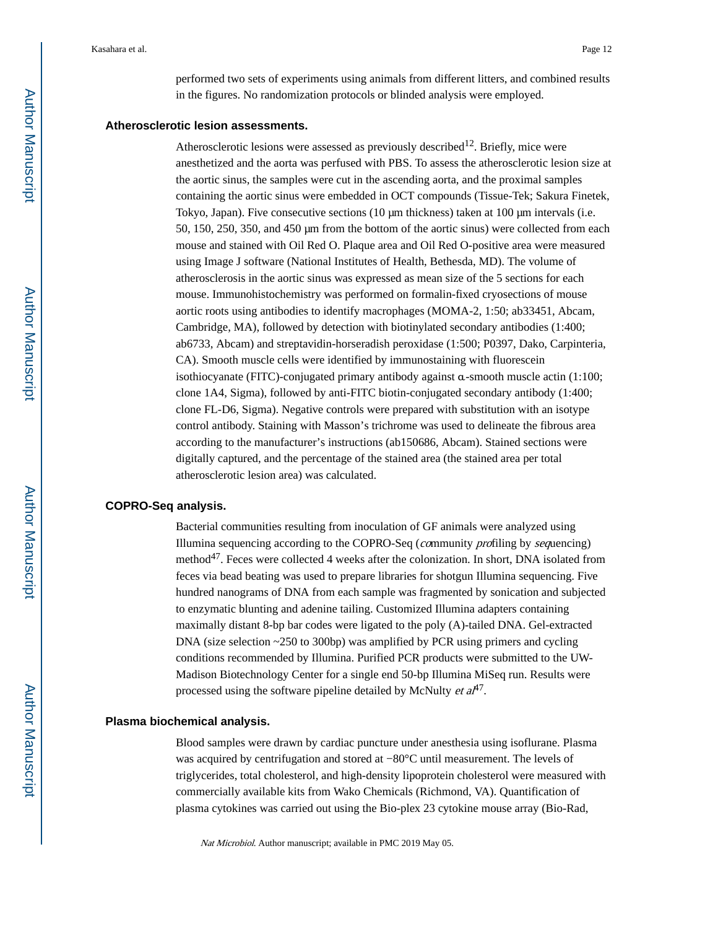performed two sets of experiments using animals from different litters, and combined results in the figures. No randomization protocols or blinded analysis were employed.

#### **Atherosclerotic lesion assessments.**

Atherosclerotic lesions were assessed as previously described<sup>12</sup>. Briefly, mice were anesthetized and the aorta was perfused with PBS. To assess the atherosclerotic lesion size at the aortic sinus, the samples were cut in the ascending aorta, and the proximal samples containing the aortic sinus were embedded in OCT compounds (Tissue-Tek; Sakura Finetek, Tokyo, Japan). Five consecutive sections (10 μm thickness) taken at 100 μm intervals (i.e. 50, 150, 250, 350, and 450 μm from the bottom of the aortic sinus) were collected from each mouse and stained with Oil Red O. Plaque area and Oil Red O-positive area were measured using Image J software (National Institutes of Health, Bethesda, MD). The volume of atherosclerosis in the aortic sinus was expressed as mean size of the 5 sections for each mouse. Immunohistochemistry was performed on formalin-fixed cryosections of mouse aortic roots using antibodies to identify macrophages (MOMA-2, 1:50; ab33451, Abcam, Cambridge, MA), followed by detection with biotinylated secondary antibodies (1:400; ab6733, Abcam) and streptavidin-horseradish peroxidase (1:500; P0397, Dako, Carpinteria, CA). Smooth muscle cells were identified by immunostaining with fluorescein isothiocyanate (FITC)-conjugated primary antibody against α-smooth muscle actin (1:100; clone 1A4, Sigma), followed by anti-FITC biotin-conjugated secondary antibody (1:400; clone FL-D6, Sigma). Negative controls were prepared with substitution with an isotype control antibody. Staining with Masson's trichrome was used to delineate the fibrous area according to the manufacturer's instructions (ab150686, Abcam). Stained sections were digitally captured, and the percentage of the stained area (the stained area per total atherosclerotic lesion area) was calculated.

#### **COPRO-Seq analysis.**

Bacterial communities resulting from inoculation of GF animals were analyzed using Illumina sequencing according to the COPRO-Seq (community profiling by sequencing) method<sup>47</sup>. Feces were collected 4 weeks after the colonization. In short, DNA isolated from feces via bead beating was used to prepare libraries for shotgun Illumina sequencing. Five hundred nanograms of DNA from each sample was fragmented by sonication and subjected to enzymatic blunting and adenine tailing. Customized Illumina adapters containing maximally distant 8-bp bar codes were ligated to the poly (A)-tailed DNA. Gel-extracted DNA (size selection  $\sim$  250 to 300bp) was amplified by PCR using primers and cycling conditions recommended by Illumina. Purified PCR products were submitted to the UW-Madison Biotechnology Center for a single end 50-bp Illumina MiSeq run. Results were processed using the software pipeline detailed by McNulty *et al*<sup>47</sup>.

#### **Plasma biochemical analysis.**

Blood samples were drawn by cardiac puncture under anesthesia using isoflurane. Plasma was acquired by centrifugation and stored at −80°C until measurement. The levels of triglycerides, total cholesterol, and high-density lipoprotein cholesterol were measured with commercially available kits from Wako Chemicals (Richmond, VA). Quantification of plasma cytokines was carried out using the Bio-plex 23 cytokine mouse array (Bio-Rad,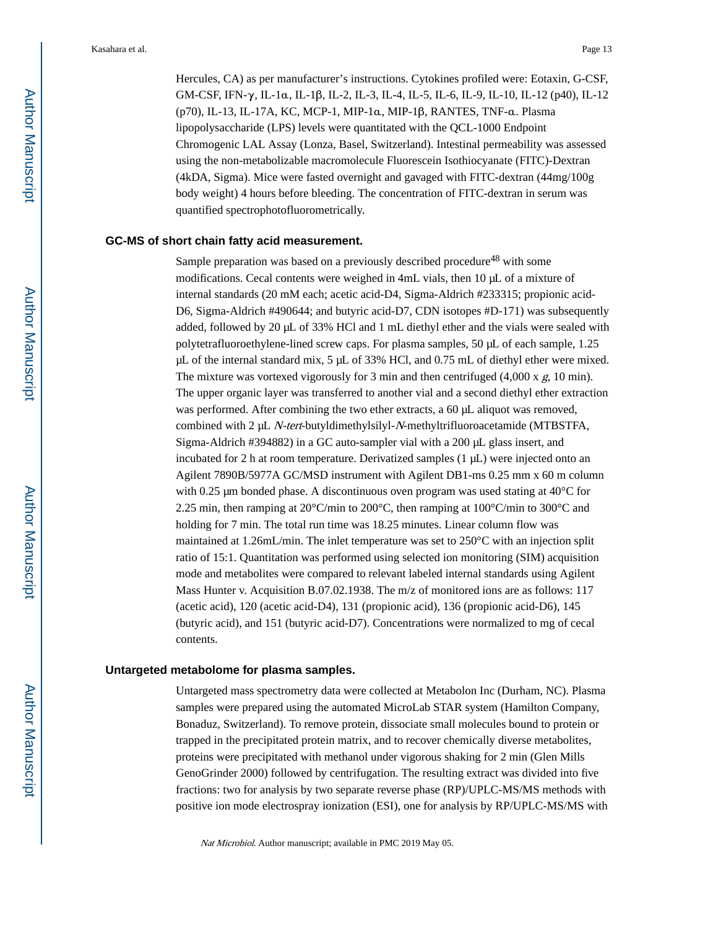Hercules, CA) as per manufacturer's instructions. Cytokines profiled were: Eotaxin, G-CSF, GM-CSF, IFN-γ, IL-1α, IL-1β, IL-2, IL-3, IL-4, IL-5, IL-6, IL-9, IL-10, IL-12 (p40), IL-12 (p70), IL-13, IL-17A, KC, MCP-1, MIP-1α, MIP-1β, RANTES, TNF-α. Plasma lipopolysaccharide (LPS) levels were quantitated with the QCL-1000 Endpoint Chromogenic LAL Assay (Lonza, Basel, Switzerland). Intestinal permeability was assessed using the non-metabolizable macromolecule Fluorescein Isothiocyanate (FITC)-Dextran (4kDA, Sigma). Mice were fasted overnight and gavaged with FITC-dextran (44mg/100g body weight) 4 hours before bleeding. The concentration of FITC-dextran in serum was quantified spectrophotofluorometrically.

#### **GC-MS of short chain fatty acid measurement.**

Sample preparation was based on a previously described procedure<sup>48</sup> with some modifications. Cecal contents were weighed in 4mL vials, then 10 μL of a mixture of internal standards (20 mM each; acetic acid-D4, Sigma-Aldrich #233315; propionic acid-D6, Sigma-Aldrich #490644; and butyric acid-D7, CDN isotopes #D-171) was subsequently added, followed by 20 μL of 33% HCl and 1 mL diethyl ether and the vials were sealed with polytetrafluoroethylene-lined screw caps. For plasma samples, 50 μL of each sample, 1.25 μL of the internal standard mix, 5 μL of 33% HCl, and 0.75 mL of diethyl ether were mixed. The mixture was vortexed vigorously for 3 min and then centrifuged  $(4,000 \text{ x } g, 10 \text{ min})$ . The upper organic layer was transferred to another vial and a second diethyl ether extraction was performed. After combining the two ether extracts, a 60 μL aliquot was removed, combined with 2 μL N-tert-butyldimethylsilyl-N-methyltrifluoroacetamide (MTBSTFA, Sigma-Aldrich #394882) in a GC auto-sampler vial with a 200 μL glass insert, and incubated for 2 h at room temperature. Derivatized samples (1 μL) were injected onto an Agilent 7890B/5977A GC/MSD instrument with Agilent DB1-ms 0.25 mm x 60 m column with 0.25  $\mu$ m bonded phase. A discontinuous oven program was used stating at 40 $\degree$ C for 2.25 min, then ramping at  $20^{\circ}$ C/min to  $200^{\circ}$ C, then ramping at  $100^{\circ}$ C/min to  $300^{\circ}$ C and holding for 7 min. The total run time was 18.25 minutes. Linear column flow was maintained at 1.26mL/min. The inlet temperature was set to 250°C with an injection split ratio of 15:1. Quantitation was performed using selected ion monitoring (SIM) acquisition mode and metabolites were compared to relevant labeled internal standards using Agilent Mass Hunter v. Acquisition B.07.02.1938. The m/z of monitored ions are as follows: 117 (acetic acid), 120 (acetic acid-D4), 131 (propionic acid), 136 (propionic acid-D6), 145 (butyric acid), and 151 (butyric acid-D7). Concentrations were normalized to mg of cecal contents.

#### **Untargeted metabolome for plasma samples.**

Untargeted mass spectrometry data were collected at Metabolon Inc (Durham, NC). Plasma samples were prepared using the automated MicroLab STAR system (Hamilton Company, Bonaduz, Switzerland). To remove protein, dissociate small molecules bound to protein or trapped in the precipitated protein matrix, and to recover chemically diverse metabolites, proteins were precipitated with methanol under vigorous shaking for 2 min (Glen Mills GenoGrinder 2000) followed by centrifugation. The resulting extract was divided into five fractions: two for analysis by two separate reverse phase (RP)/UPLC-MS/MS methods with positive ion mode electrospray ionization (ESI), one for analysis by RP/UPLC-MS/MS with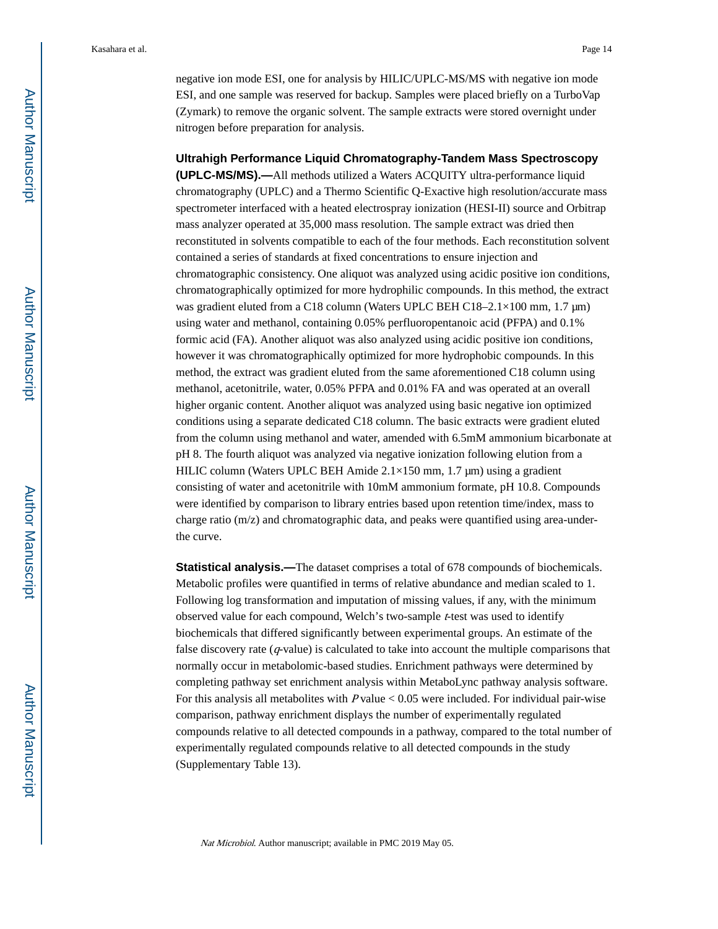negative ion mode ESI, one for analysis by HILIC/UPLC-MS/MS with negative ion mode ESI, and one sample was reserved for backup. Samples were placed briefly on a TurboVap (Zymark) to remove the organic solvent. The sample extracts were stored overnight under nitrogen before preparation for analysis.

#### **Ultrahigh Performance Liquid Chromatography-Tandem Mass Spectroscopy**

**(UPLC-MS/MS).—**All methods utilized a Waters ACQUITY ultra-performance liquid chromatography (UPLC) and a Thermo Scientific Q-Exactive high resolution/accurate mass spectrometer interfaced with a heated electrospray ionization (HESI-II) source and Orbitrap mass analyzer operated at 35,000 mass resolution. The sample extract was dried then reconstituted in solvents compatible to each of the four methods. Each reconstitution solvent contained a series of standards at fixed concentrations to ensure injection and chromatographic consistency. One aliquot was analyzed using acidic positive ion conditions, chromatographically optimized for more hydrophilic compounds. In this method, the extract was gradient eluted from a C18 column (Waters UPLC BEH C18–2.1×100 mm, 1.7 μm) using water and methanol, containing 0.05% perfluoropentanoic acid (PFPA) and 0.1% formic acid (FA). Another aliquot was also analyzed using acidic positive ion conditions, however it was chromatographically optimized for more hydrophobic compounds. In this method, the extract was gradient eluted from the same aforementioned C18 column using methanol, acetonitrile, water, 0.05% PFPA and 0.01% FA and was operated at an overall higher organic content. Another aliquot was analyzed using basic negative ion optimized conditions using a separate dedicated C18 column. The basic extracts were gradient eluted from the column using methanol and water, amended with 6.5mM ammonium bicarbonate at pH 8. The fourth aliquot was analyzed via negative ionization following elution from a HILIC column (Waters UPLC BEH Amide 2.1×150 mm, 1.7 μm) using a gradient consisting of water and acetonitrile with 10mM ammonium formate, pH 10.8. Compounds were identified by comparison to library entries based upon retention time/index, mass to charge ratio (m/z) and chromatographic data, and peaks were quantified using area-underthe curve.

**Statistical analysis.—**The dataset comprises a total of 678 compounds of biochemicals. Metabolic profiles were quantified in terms of relative abundance and median scaled to 1. Following log transformation and imputation of missing values, if any, with the minimum observed value for each compound, Welch's two-sample *t*-test was used to identify biochemicals that differed significantly between experimental groups. An estimate of the false discovery rate  $(q$ -value) is calculated to take into account the multiple comparisons that normally occur in metabolomic-based studies. Enrichment pathways were determined by completing pathway set enrichment analysis within MetaboLync pathway analysis software. For this analysis all metabolites with  $P$  value  $< 0.05$  were included. For individual pair-wise comparison, pathway enrichment displays the number of experimentally regulated compounds relative to all detected compounds in a pathway, compared to the total number of experimentally regulated compounds relative to all detected compounds in the study (Supplementary Table 13).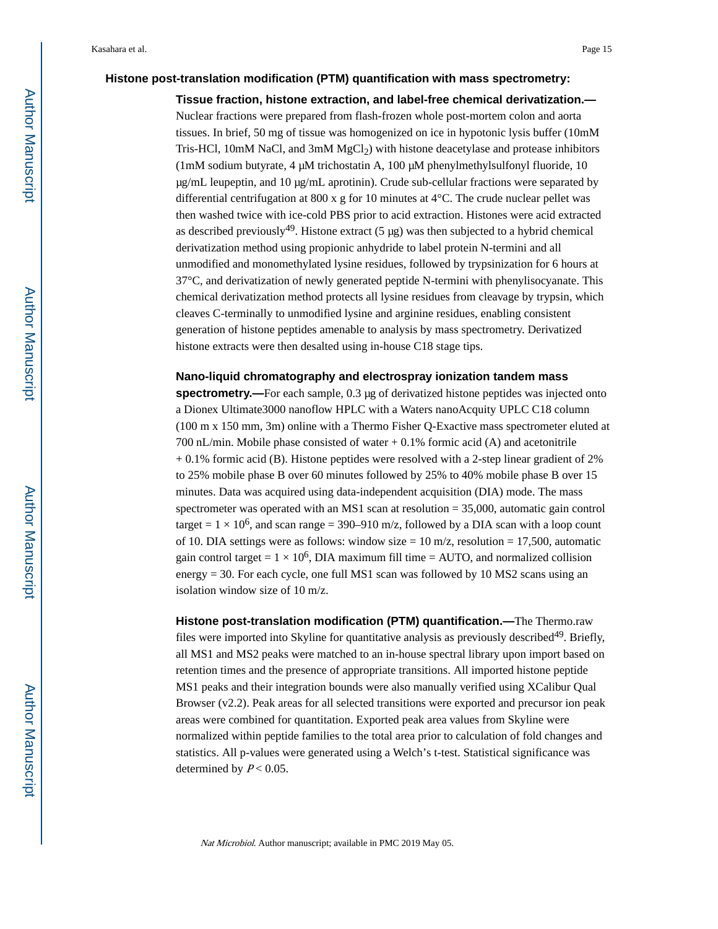#### **Histone post-translation modification (PTM) quantification with mass spectrometry:**

**Tissue fraction, histone extraction, and label-free chemical derivatization.—** Nuclear fractions were prepared from flash-frozen whole post-mortem colon and aorta tissues. In brief, 50 mg of tissue was homogenized on ice in hypotonic lysis buffer (10mM Tris-HCl,  $10$ mM NaCl, and  $3$ mM MgCl<sub>2</sub>) with histone deacetylase and protease inhibitors (1mM sodium butyrate, 4 μM trichostatin A, 100 μM phenylmethylsulfonyl fluoride, 10  $\mu$ g/mL leupeptin, and 10  $\mu$ g/mL aprotinin). Crude sub-cellular fractions were separated by differential centrifugation at 800 x g for 10 minutes at 4°C. The crude nuclear pellet was then washed twice with ice-cold PBS prior to acid extraction. Histones were acid extracted as described previously<sup>49</sup>. Histone extract  $(5 \mu g)$  was then subjected to a hybrid chemical derivatization method using propionic anhydride to label protein N-termini and all unmodified and monomethylated lysine residues, followed by trypsinization for 6 hours at 37°C, and derivatization of newly generated peptide N-termini with phenylisocyanate. This chemical derivatization method protects all lysine residues from cleavage by trypsin, which cleaves C-terminally to unmodified lysine and arginine residues, enabling consistent generation of histone peptides amenable to analysis by mass spectrometry. Derivatized histone extracts were then desalted using in-house C18 stage tips.

#### **Nano-liquid chromatography and electrospray ionization tandem mass**

**spectrometry.—**For each sample, 0.3 μg of derivatized histone peptides was injected onto a Dionex Ultimate3000 nanoflow HPLC with a Waters nanoAcquity UPLC C18 column (100 m x 150 mm, 3m) online with a Thermo Fisher Q-Exactive mass spectrometer eluted at 700 nL/min. Mobile phase consisted of water + 0.1% formic acid (A) and acetonitrile + 0.1% formic acid (B). Histone peptides were resolved with a 2-step linear gradient of 2% to 25% mobile phase B over 60 minutes followed by 25% to 40% mobile phase B over 15 minutes. Data was acquired using data-independent acquisition (DIA) mode. The mass spectrometer was operated with an MS1 scan at resolution = 35,000, automatic gain control target =  $1 \times 10^6$ , and scan range = 390–910 m/z, followed by a DIA scan with a loop count of 10. DIA settings were as follows: window size  $= 10$  m/z, resolution  $= 17,500$ , automatic gain control target =  $1 \times 10^6$ , DIA maximum fill time = AUTO, and normalized collision energy = 30. For each cycle, one full MS1 scan was followed by 10 MS2 scans using an isolation window size of 10 m/z.

**Histone post-translation modification (PTM) quantification.—**The Thermo.raw files were imported into Skyline for quantitative analysis as previously described<sup>49</sup>. Briefly, all MS1 and MS2 peaks were matched to an in-house spectral library upon import based on retention times and the presence of appropriate transitions. All imported histone peptide MS1 peaks and their integration bounds were also manually verified using XCalibur Qual Browser (v2.2). Peak areas for all selected transitions were exported and precursor ion peak areas were combined for quantitation. Exported peak area values from Skyline were normalized within peptide families to the total area prior to calculation of fold changes and statistics. All p-values were generated using a Welch's t-test. Statistical significance was determined by  $P < 0.05$ .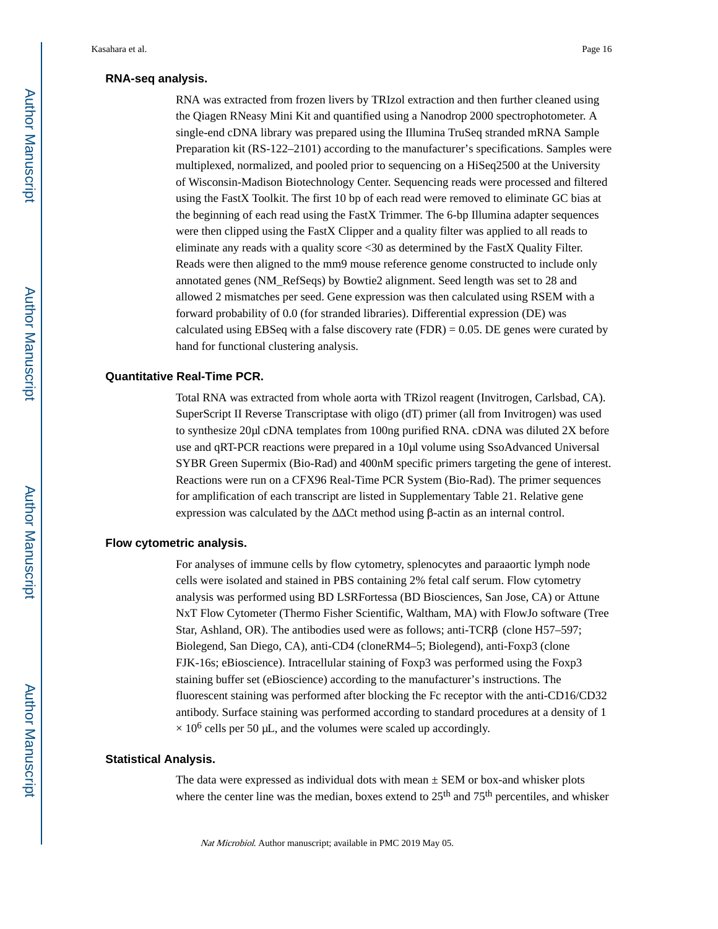#### **RNA-seq analysis.**

RNA was extracted from frozen livers by TRIzol extraction and then further cleaned using the Qiagen RNeasy Mini Kit and quantified using a Nanodrop 2000 spectrophotometer. A single-end cDNA library was prepared using the Illumina TruSeq stranded mRNA Sample Preparation kit (RS-122–2101) according to the manufacturer's specifications. Samples were multiplexed, normalized, and pooled prior to sequencing on a HiSeq2500 at the University of Wisconsin-Madison Biotechnology Center. Sequencing reads were processed and filtered using the FastX Toolkit. The first 10 bp of each read were removed to eliminate GC bias at the beginning of each read using the FastX Trimmer. The 6-bp Illumina adapter sequences were then clipped using the FastX Clipper and a quality filter was applied to all reads to eliminate any reads with a quality score <30 as determined by the FastX Quality Filter. Reads were then aligned to the mm9 mouse reference genome constructed to include only annotated genes (NM\_RefSeqs) by Bowtie2 alignment. Seed length was set to 28 and allowed 2 mismatches per seed. Gene expression was then calculated using RSEM with a forward probability of 0.0 (for stranded libraries). Differential expression (DE) was calculated using EBSeq with a false discovery rate  $(FDR) = 0.05$ . DE genes were curated by hand for functional clustering analysis.

#### **Quantitative Real-Time PCR.**

Total RNA was extracted from whole aorta with TRizol reagent (Invitrogen, Carlsbad, CA). SuperScript II Reverse Transcriptase with oligo (dT) primer (all from Invitrogen) was used to synthesize 20μl cDNA templates from 100ng purified RNA. cDNA was diluted 2X before use and qRT-PCR reactions were prepared in a 10μl volume using SsoAdvanced Universal SYBR Green Supermix (Bio-Rad) and 400nM specific primers targeting the gene of interest. Reactions were run on a CFX96 Real-Time PCR System (Bio-Rad). The primer sequences for amplification of each transcript are listed in Supplementary Table 21. Relative gene expression was calculated by the  $Ct$  method using β-actin as an internal control.

## **Flow cytometric analysis.**

For analyses of immune cells by flow cytometry, splenocytes and paraaortic lymph node cells were isolated and stained in PBS containing 2% fetal calf serum. Flow cytometry analysis was performed using BD LSRFortessa (BD Biosciences, San Jose, CA) or Attune NxT Flow Cytometer (Thermo Fisher Scientific, Waltham, MA) with FlowJo software (Tree Star, Ashland, OR). The antibodies used were as follows; anti-TCRβ (clone H57–597; Biolegend, San Diego, CA), anti-CD4 (cloneRM4–5; Biolegend), anti-Foxp3 (clone FJK-16s; eBioscience). Intracellular staining of Foxp3 was performed using the Foxp3 staining buffer set (eBioscience) according to the manufacturer's instructions. The fluorescent staining was performed after blocking the Fc receptor with the anti-CD16/CD32 antibody. Surface staining was performed according to standard procedures at a density of 1  $\times$  10<sup>6</sup> cells per 50 µL, and the volumes were scaled up accordingly.

#### **Statistical Analysis.**

The data were expressed as individual dots with mean  $\pm$  SEM or box-and whisker plots where the center line was the median, boxes extend to  $25<sup>th</sup>$  and  $75<sup>th</sup>$  percentiles, and whisker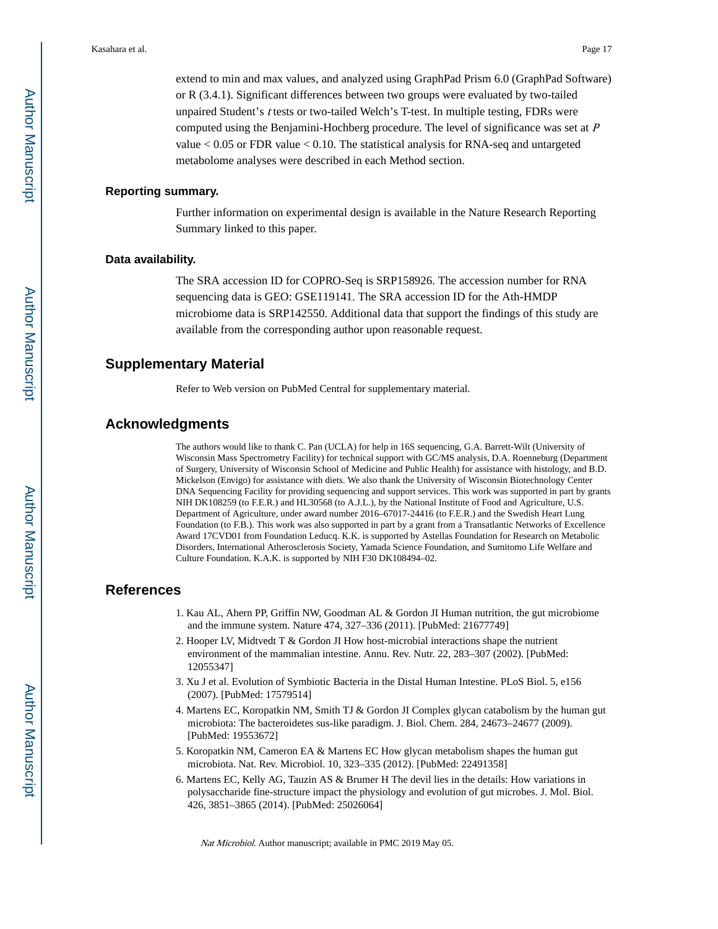extend to min and max values, and analyzed using GraphPad Prism 6.0 (GraphPad Software) or R (3.4.1). Significant differences between two groups were evaluated by two-tailed unpaired Student's t tests or two-tailed Welch's T-test. In multiple testing, FDRs were computed using the Benjamini-Hochberg procedure. The level of significance was set at <sup>P</sup> value  $< 0.05$  or FDR value  $< 0.10$ . The statistical analysis for RNA-seq and untargeted metabolome analyses were described in each Method section.

## **Reporting summary.**

Further information on experimental design is available in the Nature Research Reporting Summary linked to this paper.

#### **Data availability.**

The SRA accession ID for COPRO-Seq is SRP158926. The accession number for RNA sequencing data is GEO: GSE119141. The SRA accession ID for the Ath-HMDP microbiome data is SRP142550. Additional data that support the findings of this study are available from the corresponding author upon reasonable request.

## **Supplementary Material**

Refer to Web version on PubMed Central for supplementary material.

## **Acknowledgments**

The authors would like to thank C. Pan (UCLA) for help in 16S sequencing, G.A. Barrett-Wilt (University of Wisconsin Mass Spectrometry Facility) for technical support with GC/MS analysis, D.A. Roenneburg (Department of Surgery, University of Wisconsin School of Medicine and Public Health) for assistance with histology, and B.D. Mickelson (Envigo) for assistance with diets. We also thank the University of Wisconsin Biotechnology Center DNA Sequencing Facility for providing sequencing and support services. This work was supported in part by grants NIH DK108259 (to F.E.R.) and HL30568 (to A.J.L.), by the National Institute of Food and Agriculture, U.S. Department of Agriculture, under award number 2016–67017-24416 (to F.E.R.) and the Swedish Heart Lung Foundation (to F.B.). This work was also supported in part by a grant from a Transatlantic Networks of Excellence Award 17CVD01 from Foundation Leducq. K.K. is supported by Astellas Foundation for Research on Metabolic Disorders, International Atherosclerosis Society, Yamada Science Foundation, and Sumitomo Life Welfare and Culture Foundation. K.A.K. is supported by NIH F30 DK108494–02.

## **References**

- 1. Kau AL, Ahern PP, Griffin NW, Goodman AL & Gordon JI Human nutrition, the gut microbiome and the immune system. Nature 474, 327–336 (2011). [PubMed: 21677749]
- 2. Hooper LV, Midtvedt T & Gordon JI How host-microbial interactions shape the nutrient environment of the mammalian intestine. Annu. Rev. Nutr. 22, 283–307 (2002). [PubMed: 12055347]
- 3. Xu J et al. Evolution of Symbiotic Bacteria in the Distal Human Intestine. PLoS Biol. 5, e156 (2007). [PubMed: 17579514]
- 4. Martens EC, Koropatkin NM, Smith TJ & Gordon JI Complex glycan catabolism by the human gut microbiota: The bacteroidetes sus-like paradigm. J. Biol. Chem. 284, 24673–24677 (2009). [PubMed: 19553672]
- 5. Koropatkin NM, Cameron EA & Martens EC How glycan metabolism shapes the human gut microbiota. Nat. Rev. Microbiol. 10, 323–335 (2012). [PubMed: 22491358]
- 6. Martens EC, Kelly AG, Tauzin AS & Brumer H The devil lies in the details: How variations in polysaccharide fine-structure impact the physiology and evolution of gut microbes. J. Mol. Biol. 426, 3851–3865 (2014). [PubMed: 25026064]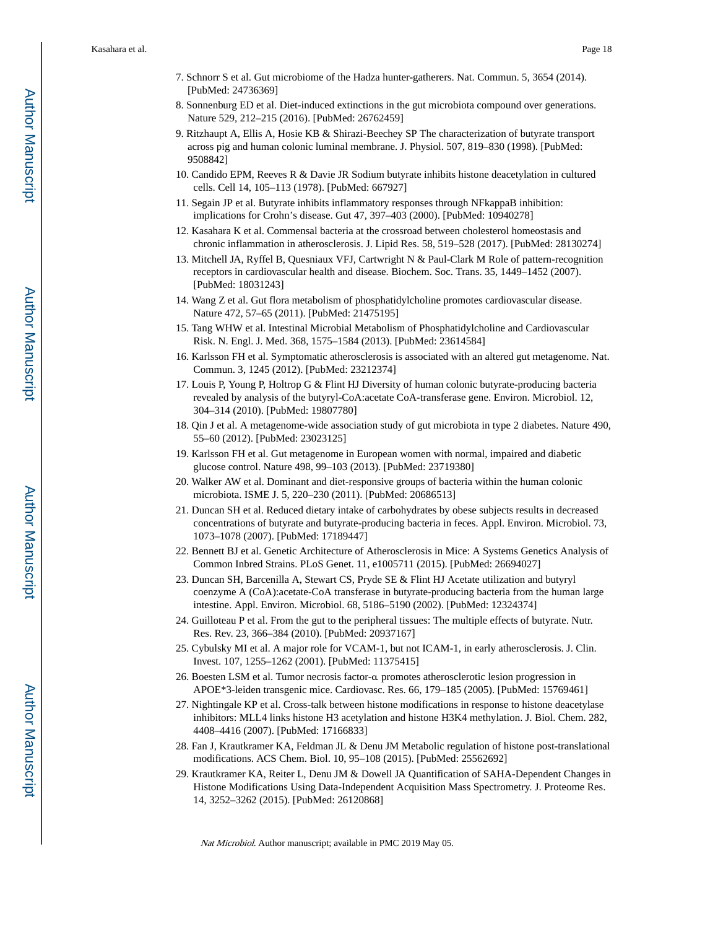- 7. Schnorr S et al. Gut microbiome of the Hadza hunter-gatherers. Nat. Commun. 5, 3654 (2014). [PubMed: 24736369]
- 8. Sonnenburg ED et al. Diet-induced extinctions in the gut microbiota compound over generations. Nature 529, 212–215 (2016). [PubMed: 26762459]
- 9. Ritzhaupt A, Ellis A, Hosie KB & Shirazi-Beechey SP The characterization of butyrate transport across pig and human colonic luminal membrane. J. Physiol. 507, 819–830 (1998). [PubMed: 9508842]
- 10. Candido EPM, Reeves R & Davie JR Sodium butyrate inhibits histone deacetylation in cultured cells. Cell 14, 105–113 (1978). [PubMed: 667927]
- 11. Segain JP et al. Butyrate inhibits inflammatory responses through NFkappaB inhibition: implications for Crohn's disease. Gut 47, 397–403 (2000). [PubMed: 10940278]
- 12. Kasahara K et al. Commensal bacteria at the crossroad between cholesterol homeostasis and chronic inflammation in atherosclerosis. J. Lipid Res. 58, 519–528 (2017). [PubMed: 28130274]
- 13. Mitchell JA, Ryffel B, Quesniaux VFJ, Cartwright N & Paul-Clark M Role of pattern-recognition receptors in cardiovascular health and disease. Biochem. Soc. Trans. 35, 1449–1452 (2007). [PubMed: 18031243]
- 14. Wang Z et al. Gut flora metabolism of phosphatidylcholine promotes cardiovascular disease. Nature 472, 57–65 (2011). [PubMed: 21475195]
- 15. Tang WHW et al. Intestinal Microbial Metabolism of Phosphatidylcholine and Cardiovascular Risk. N. Engl. J. Med. 368, 1575–1584 (2013). [PubMed: 23614584]
- 16. Karlsson FH et al. Symptomatic atherosclerosis is associated with an altered gut metagenome. Nat. Commun. 3, 1245 (2012). [PubMed: 23212374]
- 17. Louis P, Young P, Holtrop G & Flint HJ Diversity of human colonic butyrate-producing bacteria revealed by analysis of the butyryl-CoA:acetate CoA-transferase gene. Environ. Microbiol. 12, 304–314 (2010). [PubMed: 19807780]
- 18. Qin J et al. A metagenome-wide association study of gut microbiota in type 2 diabetes. Nature 490, 55–60 (2012). [PubMed: 23023125]
- 19. Karlsson FH et al. Gut metagenome in European women with normal, impaired and diabetic glucose control. Nature 498, 99–103 (2013). [PubMed: 23719380]
- 20. Walker AW et al. Dominant and diet-responsive groups of bacteria within the human colonic microbiota. ISME J. 5, 220–230 (2011). [PubMed: 20686513]
- 21. Duncan SH et al. Reduced dietary intake of carbohydrates by obese subjects results in decreased concentrations of butyrate and butyrate-producing bacteria in feces. Appl. Environ. Microbiol. 73, 1073–1078 (2007). [PubMed: 17189447]
- 22. Bennett BJ et al. Genetic Architecture of Atherosclerosis in Mice: A Systems Genetics Analysis of Common Inbred Strains. PLoS Genet. 11, e1005711 (2015). [PubMed: 26694027]
- 23. Duncan SH, Barcenilla A, Stewart CS, Pryde SE & Flint HJ Acetate utilization and butyryl coenzyme A (CoA):acetate-CoA transferase in butyrate-producing bacteria from the human large intestine. Appl. Environ. Microbiol. 68, 5186–5190 (2002). [PubMed: 12324374]
- 24. Guilloteau P et al. From the gut to the peripheral tissues: The multiple effects of butyrate. Nutr. Res. Rev. 23, 366–384 (2010). [PubMed: 20937167]
- 25. Cybulsky MI et al. A major role for VCAM-1, but not ICAM-1, in early atherosclerosis. J. Clin. Invest. 107, 1255–1262 (2001). [PubMed: 11375415]
- 26. Boesten LSM et al. Tumor necrosis factor-α promotes atherosclerotic lesion progression in APOE\*3-leiden transgenic mice. Cardiovasc. Res. 66, 179–185 (2005). [PubMed: 15769461]
- 27. Nightingale KP et al. Cross-talk between histone modifications in response to histone deacetylase inhibitors: MLL4 links histone H3 acetylation and histone H3K4 methylation. J. Biol. Chem. 282, 4408–4416 (2007). [PubMed: 17166833]
- 28. Fan J, Krautkramer KA, Feldman JL & Denu JM Metabolic regulation of histone post-translational modifications. ACS Chem. Biol. 10, 95–108 (2015). [PubMed: 25562692]
- 29. Krautkramer KA, Reiter L, Denu JM & Dowell JA Quantification of SAHA-Dependent Changes in Histone Modifications Using Data-Independent Acquisition Mass Spectrometry. J. Proteome Res. 14, 3252–3262 (2015). [PubMed: 26120868]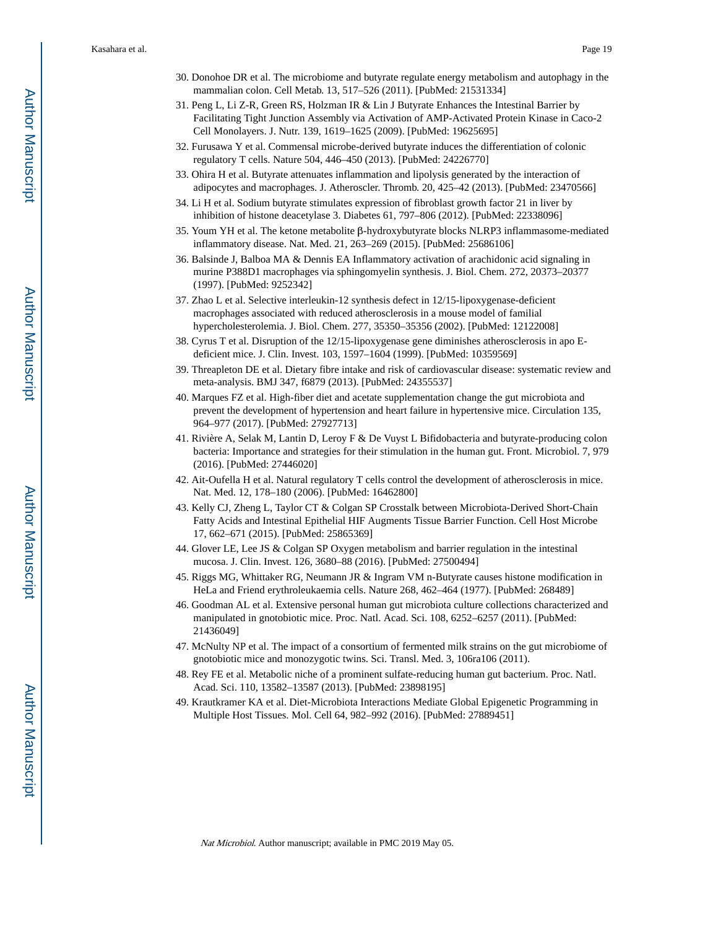- 30. Donohoe DR et al. The microbiome and butyrate regulate energy metabolism and autophagy in the mammalian colon. Cell Metab. 13, 517–526 (2011). [PubMed: 21531334]
- 31. Peng L, Li Z-R, Green RS, Holzman IR & Lin J Butyrate Enhances the Intestinal Barrier by Facilitating Tight Junction Assembly via Activation of AMP-Activated Protein Kinase in Caco-2 Cell Monolayers. J. Nutr. 139, 1619–1625 (2009). [PubMed: 19625695]
- 32. Furusawa Y et al. Commensal microbe-derived butyrate induces the differentiation of colonic regulatory T cells. Nature 504, 446–450 (2013). [PubMed: 24226770]
- 33. Ohira H et al. Butyrate attenuates inflammation and lipolysis generated by the interaction of adipocytes and macrophages. J. Atheroscler. Thromb. 20, 425–42 (2013). [PubMed: 23470566]
- 34. Li H et al. Sodium butyrate stimulates expression of fibroblast growth factor 21 in liver by inhibition of histone deacetylase 3. Diabetes 61, 797–806 (2012). [PubMed: 22338096]
- 35. Youm YH et al. The ketone metabolite β-hydroxybutyrate blocks NLRP3 inflammasome-mediated inflammatory disease. Nat. Med. 21, 263–269 (2015). [PubMed: 25686106]
- 36. Balsinde J, Balboa MA & Dennis EA Inflammatory activation of arachidonic acid signaling in murine P388D1 macrophages via sphingomyelin synthesis. J. Biol. Chem. 272, 20373–20377 (1997). [PubMed: 9252342]
- 37. Zhao L et al. Selective interleukin-12 synthesis defect in 12/15-lipoxygenase-deficient macrophages associated with reduced atherosclerosis in a mouse model of familial hypercholesterolemia. J. Biol. Chem. 277, 35350–35356 (2002). [PubMed: 12122008]
- 38. Cyrus T et al. Disruption of the 12/15-lipoxygenase gene diminishes atherosclerosis in apo Edeficient mice. J. Clin. Invest. 103, 1597–1604 (1999). [PubMed: 10359569]
- 39. Threapleton DE et al. Dietary fibre intake and risk of cardiovascular disease: systematic review and meta-analysis. BMJ 347, f6879 (2013). [PubMed: 24355537]
- 40. Marques FZ et al. High-fiber diet and acetate supplementation change the gut microbiota and prevent the development of hypertension and heart failure in hypertensive mice. Circulation 135, 964–977 (2017). [PubMed: 27927713]
- 41. Rivière A, Selak M, Lantin D, Leroy F & De Vuyst L Bifidobacteria and butyrate-producing colon bacteria: Importance and strategies for their stimulation in the human gut. Front. Microbiol. 7, 979 (2016). [PubMed: 27446020]
- 42. Ait-Oufella H et al. Natural regulatory T cells control the development of atherosclerosis in mice. Nat. Med. 12, 178–180 (2006). [PubMed: 16462800]
- 43. Kelly CJ, Zheng L, Taylor CT & Colgan SP Crosstalk between Microbiota-Derived Short-Chain Fatty Acids and Intestinal Epithelial HIF Augments Tissue Barrier Function. Cell Host Microbe 17, 662–671 (2015). [PubMed: 25865369]
- 44. Glover LE, Lee JS & Colgan SP Oxygen metabolism and barrier regulation in the intestinal mucosa. J. Clin. Invest. 126, 3680–88 (2016). [PubMed: 27500494]
- 45. Riggs MG, Whittaker RG, Neumann JR & Ingram VM n-Butyrate causes histone modification in HeLa and Friend erythroleukaemia cells. Nature 268, 462–464 (1977). [PubMed: 268489]
- 46. Goodman AL et al. Extensive personal human gut microbiota culture collections characterized and manipulated in gnotobiotic mice. Proc. Natl. Acad. Sci. 108, 6252–6257 (2011). [PubMed: 21436049]
- 47. McNulty NP et al. The impact of a consortium of fermented milk strains on the gut microbiome of gnotobiotic mice and monozygotic twins. Sci. Transl. Med. 3, 106ra106 (2011).
- 48. Rey FE et al. Metabolic niche of a prominent sulfate-reducing human gut bacterium. Proc. Natl. Acad. Sci. 110, 13582–13587 (2013). [PubMed: 23898195]
- 49. Krautkramer KA et al. Diet-Microbiota Interactions Mediate Global Epigenetic Programming in Multiple Host Tissues. Mol. Cell 64, 982–992 (2016). [PubMed: 27889451]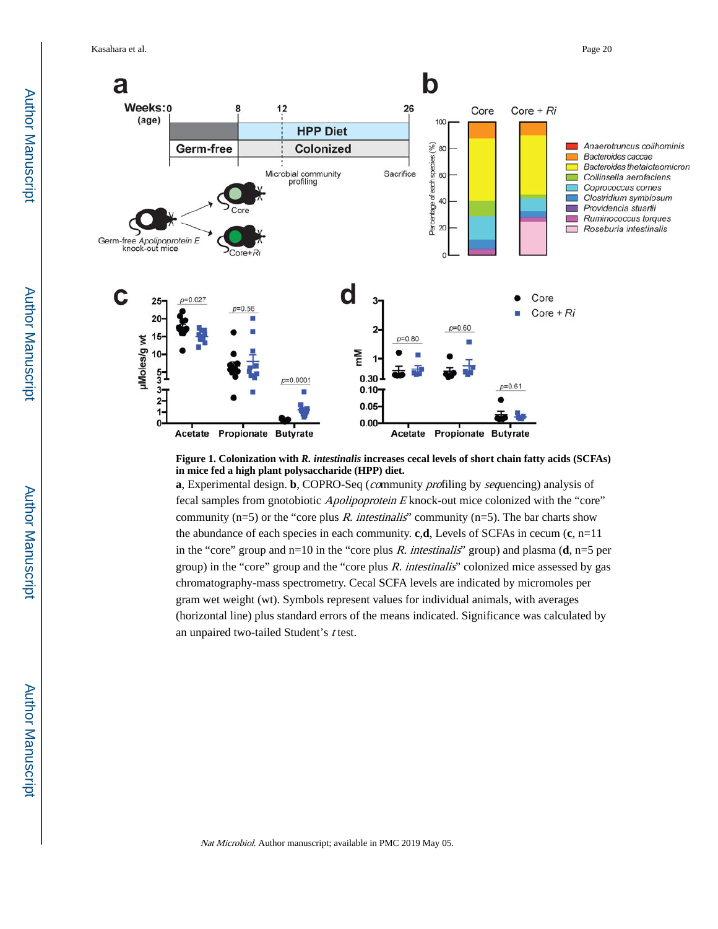Kasahara et al. Page 20



**Figure 1. Colonization with** *R. intestinalis* **increases cecal levels of short chain fatty acids (SCFAs) in mice fed a high plant polysaccharide (HPP) diet.**

**a**, Experimental design. **b**, COPRO-Seq (community profiling by sequencing) analysis of fecal samples from gnotobiotic Apolipoprotein E knock-out mice colonized with the "core" community ( $n=5$ ) or the "core plus R. intestinalis" community ( $n=5$ ). The bar charts show the abundance of each species in each community. **c**,**d**, Levels of SCFAs in cecum (**c**, n=11 in the "core" group and n=10 in the "core plus R. intestinalis" group) and plasma (**d**, n=5 per group) in the "core" group and the "core plus  $R$ . intestinalis" colonized mice assessed by gas chromatography-mass spectrometry. Cecal SCFA levels are indicated by micromoles per gram wet weight (wt). Symbols represent values for individual animals, with averages (horizontal line) plus standard errors of the means indicated. Significance was calculated by an unpaired two-tailed Student's t test.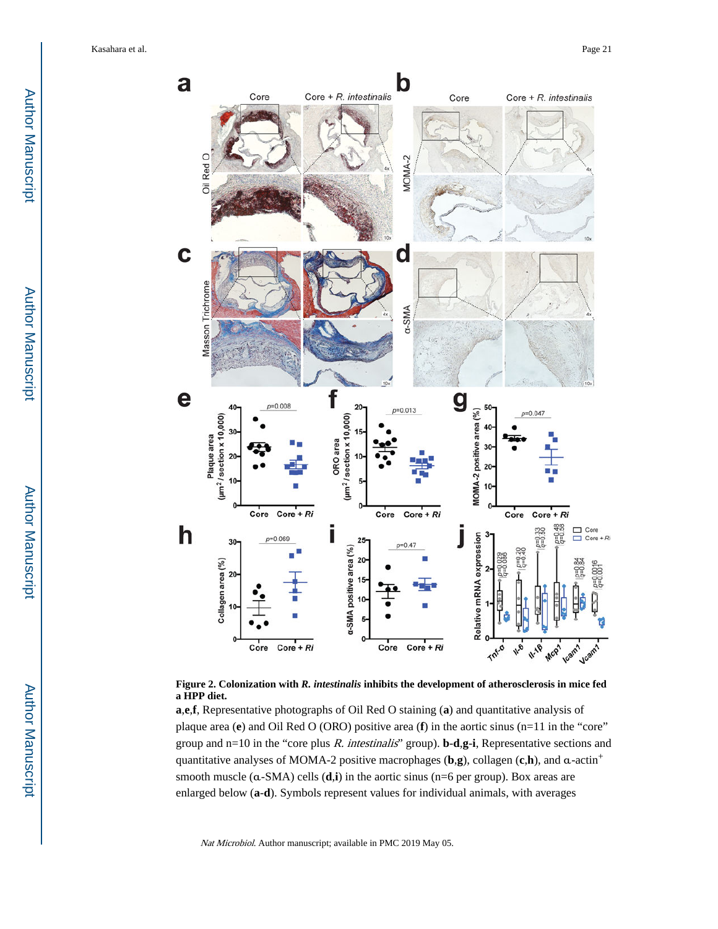



**a**,**e**,**f**, Representative photographs of Oil Red O staining (**a**) and quantitative analysis of plaque area (**e**) and Oil Red O (ORO) positive area (**f**) in the aortic sinus (n=11 in the "core" group and n=10 in the "core plus R. intestinalis" group). **b**-**d**,**g**-**i**, Representative sections and quantitative analyses of MOMA-2 positive macrophages (**b**,**g**), collagen (**c**,**h**), and α-actin<sup>+</sup> smooth muscle (α-SMA) cells (**d**,**i**) in the aortic sinus (n=6 per group). Box areas are enlarged below (**a**-**d**). Symbols represent values for individual animals, with averages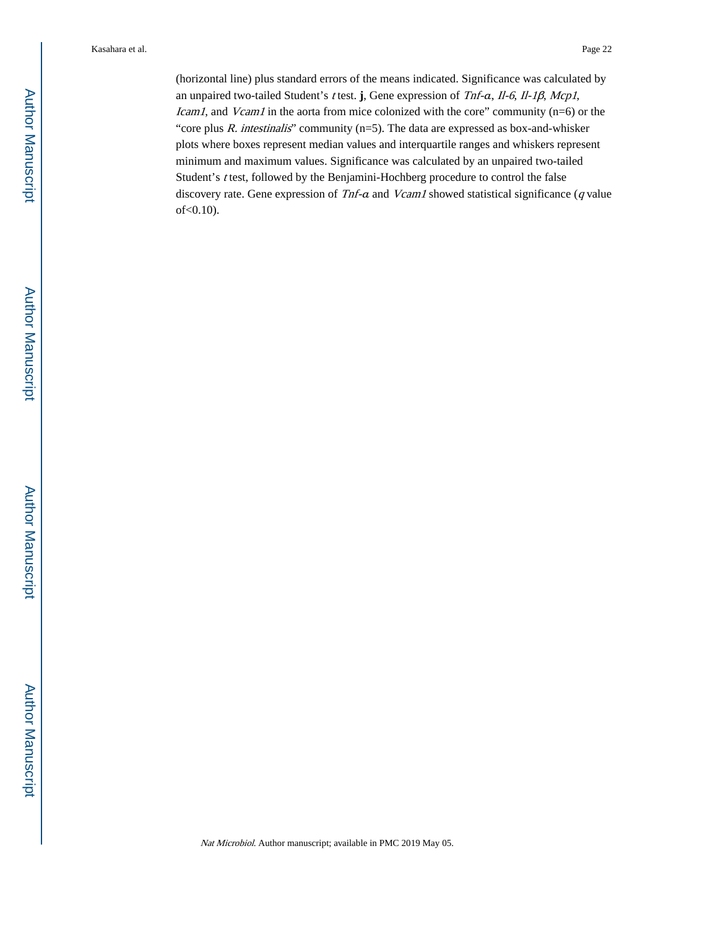(horizontal line) plus standard errors of the means indicated. Significance was calculated by an unpaired two-tailed Student's t test. **j**, Gene expression of Tnf-α, Il-6, Il-1β, Mcp1, Icam1, and Vcam1 in the aorta from mice colonized with the core" community (n=6) or the "core plus  $R$ . intestinalis" community (n=5). The data are expressed as box-and-whisker plots where boxes represent median values and interquartile ranges and whiskers represent minimum and maximum values. Significance was calculated by an unpaired two-tailed Student's t test, followed by the Benjamini-Hochberg procedure to control the false discovery rate. Gene expression of Tnf-a and Vcam1 showed statistical significance (q value of<0.10).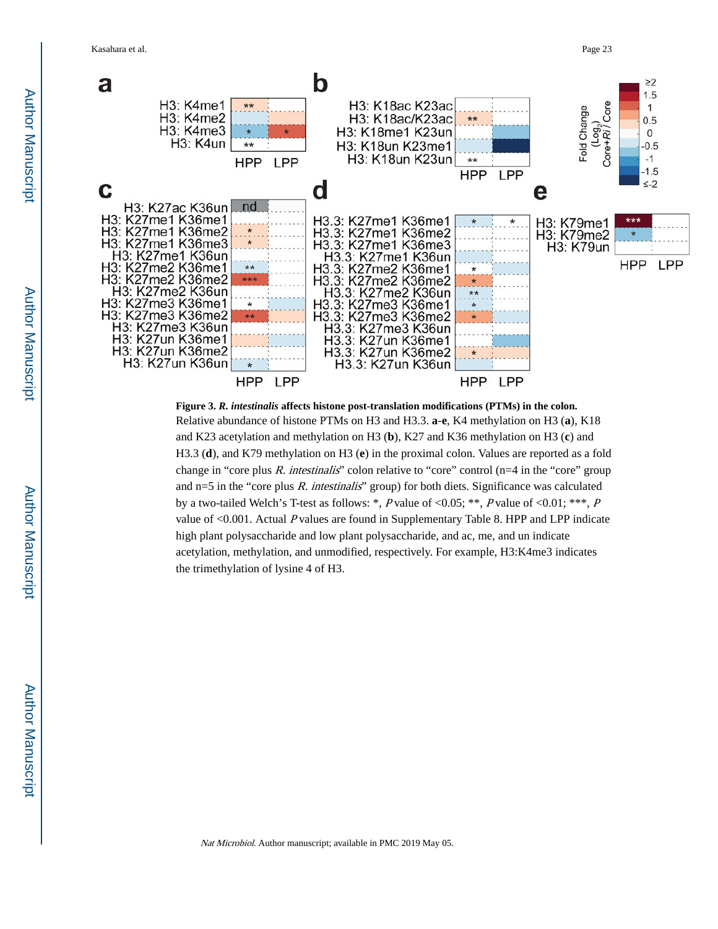

**Figure 3.** *R. intestinalis* **affects histone post-translation modifications (PTMs) in the colon.** Relative abundance of histone PTMs on H3 and H3.3. **a**-**e**, K4 methylation on H3 (**a**), K18 and K23 acetylation and methylation on H3 (**b**), K27 and K36 methylation on H3 (**c**) and H3.3 (**d**), and K79 methylation on H3 (**e**) in the proximal colon. Values are reported as a fold change in "core plus R. intestinalis" colon relative to "core" control ( $n=4$  in the "core" group and  $n=5$  in the "core plus R. intestinalis" group) for both diets. Significance was calculated by a two-tailed Welch's T-test as follows: \*, P value of <0.05; \*\*, P value of <0.01; \*\*\*, P value of <0.001. Actual P values are found in Supplementary Table 8. HPP and LPP indicate high plant polysaccharide and low plant polysaccharide, and ac, me, and un indicate acetylation, methylation, and unmodified, respectively. For example, H3:K4me3 indicates the trimethylation of lysine 4 of H3.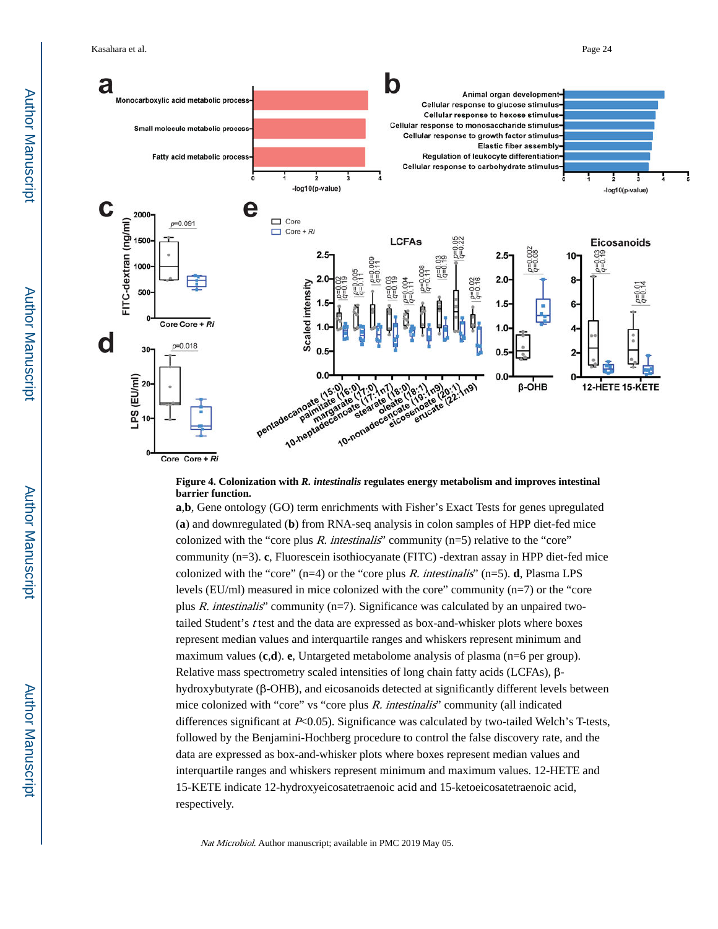

#### **Figure 4. Colonization with** *R. intestinalis* **regulates energy metabolism and improves intestinal barrier function.**

**a**,**b**, Gene ontology (GO) term enrichments with Fisher's Exact Tests for genes upregulated (**a**) and downregulated (**b**) from RNA-seq analysis in colon samples of HPP diet-fed mice colonized with the "core plus  $R$ . intestinalis" community (n=5) relative to the "core" community (n=3). **c**, Fluorescein isothiocyanate (FITC) -dextran assay in HPP diet-fed mice colonized with the "core"  $(n=4)$  or the "core plus R. intestinalis"  $(n=5)$ . **d**, Plasma LPS levels (EU/ml) measured in mice colonized with the core" community (n=7) or the "core plus R. intestinalis' community ( $n=7$ ). Significance was calculated by an unpaired twotailed Student's t test and the data are expressed as box-and-whisker plots where boxes represent median values and interquartile ranges and whiskers represent minimum and maximum values (**c**,**d**). **e**, Untargeted metabolome analysis of plasma (n=6 per group). Relative mass spectrometry scaled intensities of long chain fatty acids (LCFAs), βhydroxybutyrate (β-OHB), and eicosanoids detected at significantly different levels between mice colonized with "core" vs "core plus R. intestinalis" community (all indicated differences significant at  $P<0.05$ ). Significance was calculated by two-tailed Welch's T-tests, followed by the Benjamini-Hochberg procedure to control the false discovery rate, and the data are expressed as box-and-whisker plots where boxes represent median values and interquartile ranges and whiskers represent minimum and maximum values. 12-HETE and 15-KETE indicate 12-hydroxyeicosatetraenoic acid and 15-ketoeicosatetraenoic acid, respectively.